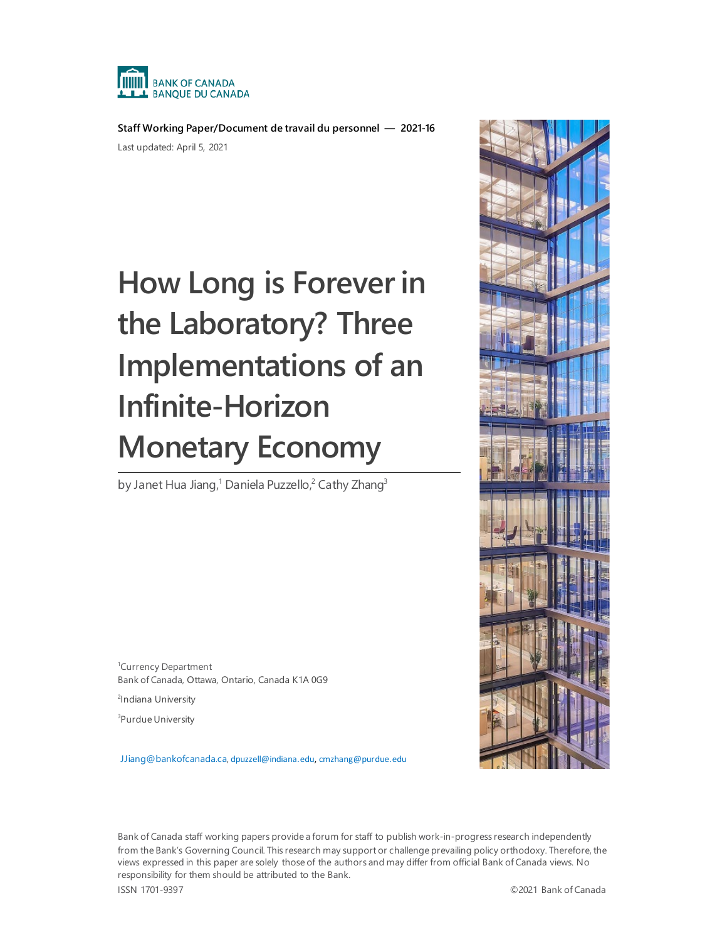

**Staff Working Paper/Document de travail du personnel — 2021-16** Last updated: April 5, 2021

# **How Long is Forever in the Laboratory? Three Implementations of an Infinite-Horizon Monetary Economy**

by Janet Hua Jiang,<sup>1</sup> Daniela Puzzello,<sup>2</sup> Cathy Zhang<sup>3</sup>

1 Currency Department Bank of Canada, Ottawa, Ontario, Canada K1A 0G9

<sup>2</sup>Indiana University

3 Purdue University

[JJiang@bankofcanada.ca,](mailto:JJiang@bankofcanada.ca) [dpuzzell@indiana.edu,](mailto:dpuzzell@indiana.edu) [cmzhang@purdue.edu](mailto:cmzhang@purdue.edu)



Bank of Canada staff working papers provide a forum for staff to publish work-in-progress research independently from the Bank's Governing Council. This research may support or challenge prevailing policy orthodoxy. Therefore, the views expressed in this paper are solely those of the authors and may differ from official Bank of Canada views. No responsibility for them should be attributed to the Bank.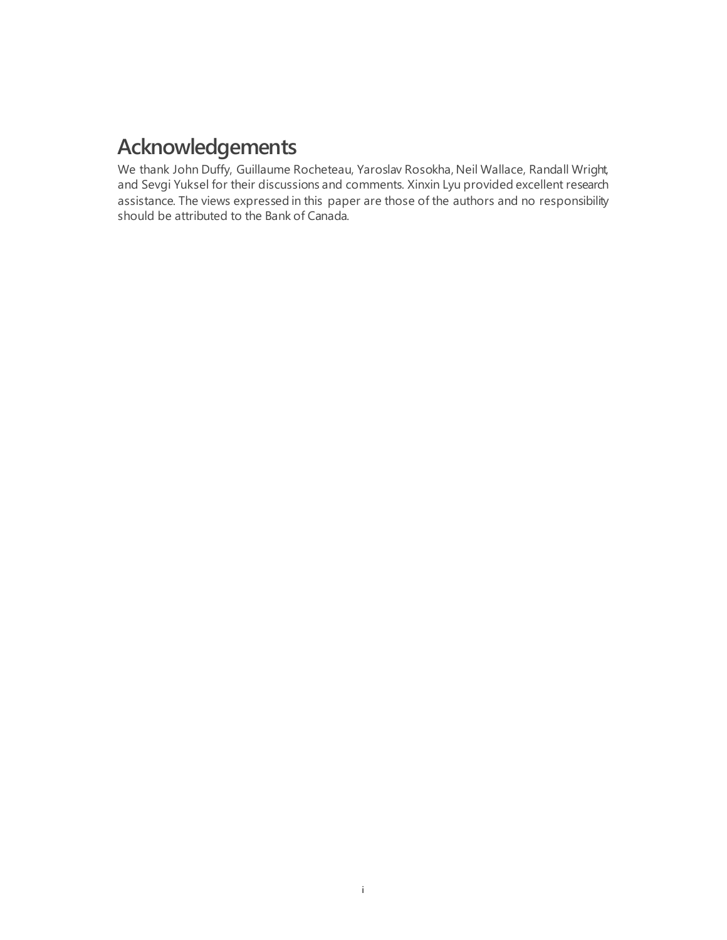# **Acknowledgements**

We thank John Duffy, Guillaume Rocheteau, Yaroslav Rosokha, Neil Wallace, Randall Wright, and Sevgi Yuksel for their discussions and comments. Xinxin Lyu provided excellent research assistance. The views expressed in this paper are those of the authors and no responsibility should be attributed to the Bank of Canada.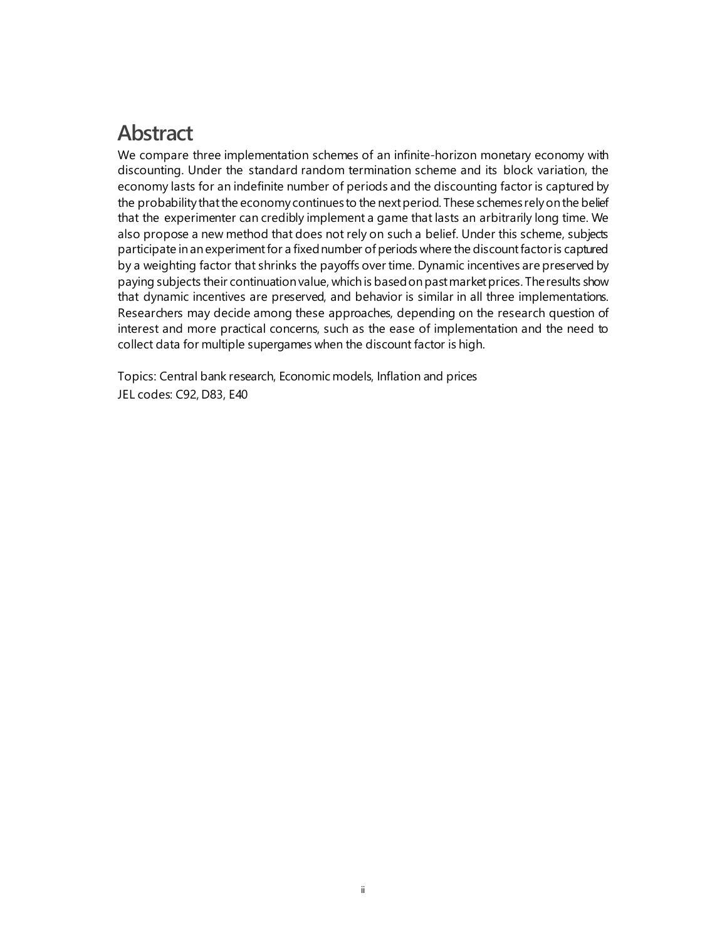# **Abstract**

We compare three implementation schemes of an infinite-horizon monetary economy with discounting. Under the standard random termination scheme and its block variation, the economy lasts for an indefinite number of periods and the discounting factor is captured by the probability that the economy continues to the next period. These schemes rely on the belief that the experimenter can credibly implement a game that lasts an arbitrarily long time. We also propose a new method that does not rely on such a belief. Under this scheme, subjects participate in an experiment for a fixednumber of periods where the discount factor is captured by a weighting factor that shrinks the payoffs over time. Dynamic incentives are preserved by paying subjects their continuation value, which is based on past market prices. The results show that dynamic incentives are preserved, and behavior is similar in all three implementations. Researchers may decide among these approaches, depending on the research question of interest and more practical concerns, such as the ease of implementation and the need to collect data for multiple supergames when the discount factor is high.

Topics: Central bank research, Economic models, Inflation and prices JEL codes: C92, D83, E40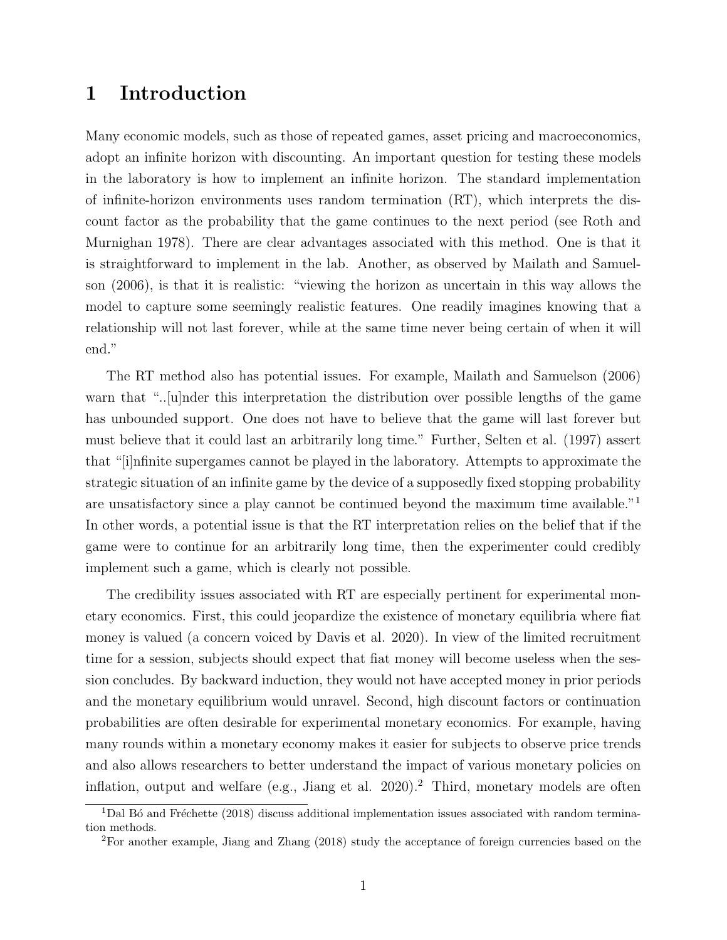### 1 Introduction

Many economic models, such as those of repeated games, asset pricing and macroeconomics, adopt an infinite horizon with discounting. An important question for testing these models in the laboratory is how to implement an infinite horizon. The standard implementation of infinite-horizon environments uses random termination (RT), which interprets the discount factor as the probability that the game continues to the next period (see Roth and Murnighan 1978). There are clear advantages associated with this method. One is that it is straightforward to implement in the lab. Another, as observed by Mailath and Samuelson (2006), is that it is realistic: "viewing the horizon as uncertain in this way allows the model to capture some seemingly realistic features. One readily imagines knowing that a relationship will not last forever, while at the same time never being certain of when it will end."

The RT method also has potential issues. For example, Mailath and Samuelson (2006) warn that "....|u|nder this interpretation the distribution over possible lengths of the game has unbounded support. One does not have to believe that the game will last forever but must believe that it could last an arbitrarily long time." Further, Selten et al. (1997) assert that "[i]nfinite supergames cannot be played in the laboratory. Attempts to approximate the strategic situation of an infinite game by the device of a supposedly fixed stopping probability are unsatisfactory since a play cannot be continued beyond the maximum time available."<sup>1</sup> In other words, a potential issue is that the RT interpretation relies on the belief that if the game were to continue for an arbitrarily long time, then the experimenter could credibly implement such a game, which is clearly not possible.

The credibility issues associated with RT are especially pertinent for experimental monetary economics. First, this could jeopardize the existence of monetary equilibria where fiat money is valued (a concern voiced by Davis et al. 2020). In view of the limited recruitment time for a session, subjects should expect that fiat money will become useless when the session concludes. By backward induction, they would not have accepted money in prior periods and the monetary equilibrium would unravel. Second, high discount factors or continuation probabilities are often desirable for experimental monetary economics. For example, having many rounds within a monetary economy makes it easier for subjects to observe price trends and also allows researchers to better understand the impact of various monetary policies on inflation, output and welfare (e.g., Jiang et al. 2020).<sup>2</sup> Third, monetary models are often

 $1$ Dal Bó and Fréchette (2018) discuss additional implementation issues associated with random termination methods.

<sup>2</sup>For another example, Jiang and Zhang (2018) study the acceptance of foreign currencies based on the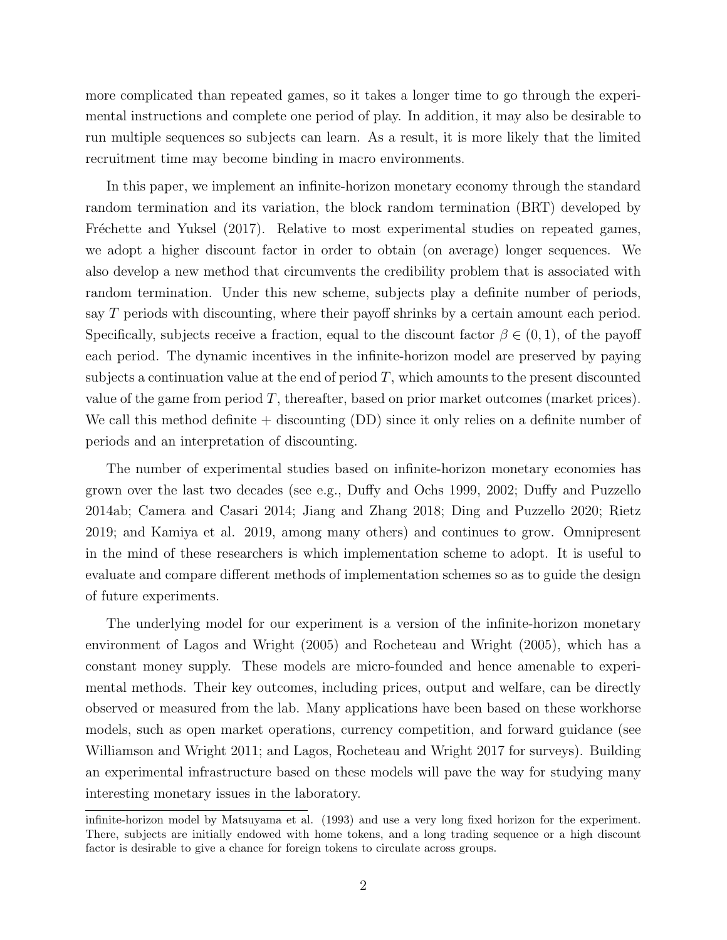more complicated than repeated games, so it takes a longer time to go through the experimental instructions and complete one period of play. In addition, it may also be desirable to run multiple sequences so subjects can learn. As a result, it is more likely that the limited recruitment time may become binding in macro environments.

In this paper, we implement an infinite-horizon monetary economy through the standard random termination and its variation, the block random termination (BRT) developed by Fréchette and Yuksel (2017). Relative to most experimental studies on repeated games, we adopt a higher discount factor in order to obtain (on average) longer sequences. We also develop a new method that circumvents the credibility problem that is associated with random termination. Under this new scheme, subjects play a definite number of periods, say T periods with discounting, where their payoff shrinks by a certain amount each period. Specifically, subjects receive a fraction, equal to the discount factor  $\beta \in (0,1)$ , of the payoff each period. The dynamic incentives in the infinite-horizon model are preserved by paying subjects a continuation value at the end of period  $T$ , which amounts to the present discounted value of the game from period  $T$ , thereafter, based on prior market outcomes (market prices). We call this method definite  $+$  discounting  $(DD)$  since it only relies on a definite number of periods and an interpretation of discounting.

The number of experimental studies based on infinite-horizon monetary economies has grown over the last two decades (see e.g., Duffy and Ochs 1999, 2002; Duffy and Puzzello 2014ab; Camera and Casari 2014; Jiang and Zhang 2018; Ding and Puzzello 2020; Rietz 2019; and Kamiya et al. 2019, among many others) and continues to grow. Omnipresent in the mind of these researchers is which implementation scheme to adopt. It is useful to evaluate and compare different methods of implementation schemes so as to guide the design of future experiments.

The underlying model for our experiment is a version of the infinite-horizon monetary environment of Lagos and Wright (2005) and Rocheteau and Wright (2005), which has a constant money supply. These models are micro-founded and hence amenable to experimental methods. Their key outcomes, including prices, output and welfare, can be directly observed or measured from the lab. Many applications have been based on these workhorse models, such as open market operations, currency competition, and forward guidance (see Williamson and Wright 2011; and Lagos, Rocheteau and Wright 2017 for surveys). Building an experimental infrastructure based on these models will pave the way for studying many interesting monetary issues in the laboratory.

infinite-horizon model by Matsuyama et al. (1993) and use a very long fixed horizon for the experiment. There, subjects are initially endowed with home tokens, and a long trading sequence or a high discount factor is desirable to give a chance for foreign tokens to circulate across groups.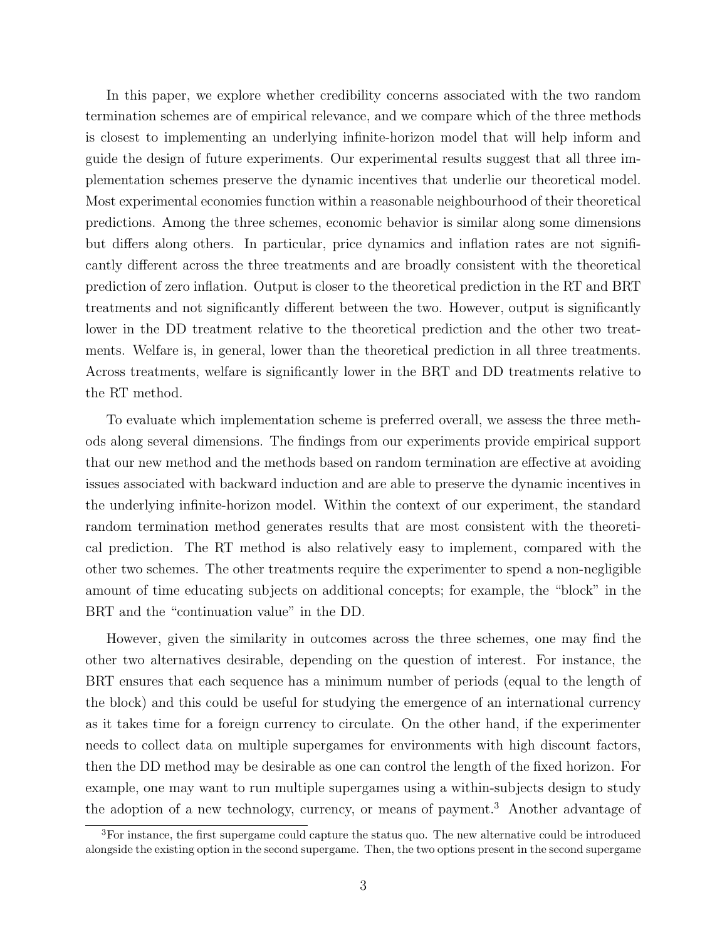In this paper, we explore whether credibility concerns associated with the two random termination schemes are of empirical relevance, and we compare which of the three methods is closest to implementing an underlying infinite-horizon model that will help inform and guide the design of future experiments. Our experimental results suggest that all three implementation schemes preserve the dynamic incentives that underlie our theoretical model. Most experimental economies function within a reasonable neighbourhood of their theoretical predictions. Among the three schemes, economic behavior is similar along some dimensions but differs along others. In particular, price dynamics and inflation rates are not significantly different across the three treatments and are broadly consistent with the theoretical prediction of zero inflation. Output is closer to the theoretical prediction in the RT and BRT treatments and not significantly different between the two. However, output is significantly lower in the DD treatment relative to the theoretical prediction and the other two treatments. Welfare is, in general, lower than the theoretical prediction in all three treatments. Across treatments, welfare is significantly lower in the BRT and DD treatments relative to the RT method.

To evaluate which implementation scheme is preferred overall, we assess the three methods along several dimensions. The findings from our experiments provide empirical support that our new method and the methods based on random termination are effective at avoiding issues associated with backward induction and are able to preserve the dynamic incentives in the underlying infinite-horizon model. Within the context of our experiment, the standard random termination method generates results that are most consistent with the theoretical prediction. The RT method is also relatively easy to implement, compared with the other two schemes. The other treatments require the experimenter to spend a non-negligible amount of time educating subjects on additional concepts; for example, the "block" in the BRT and the "continuation value" in the DD.

However, given the similarity in outcomes across the three schemes, one may find the other two alternatives desirable, depending on the question of interest. For instance, the BRT ensures that each sequence has a minimum number of periods (equal to the length of the block) and this could be useful for studying the emergence of an international currency as it takes time for a foreign currency to circulate. On the other hand, if the experimenter needs to collect data on multiple supergames for environments with high discount factors, then the DD method may be desirable as one can control the length of the fixed horizon. For example, one may want to run multiple supergames using a within-subjects design to study the adoption of a new technology, currency, or means of payment.<sup>3</sup> Another advantage of

<sup>3</sup>For instance, the first supergame could capture the status quo. The new alternative could be introduced alongside the existing option in the second supergame. Then, the two options present in the second supergame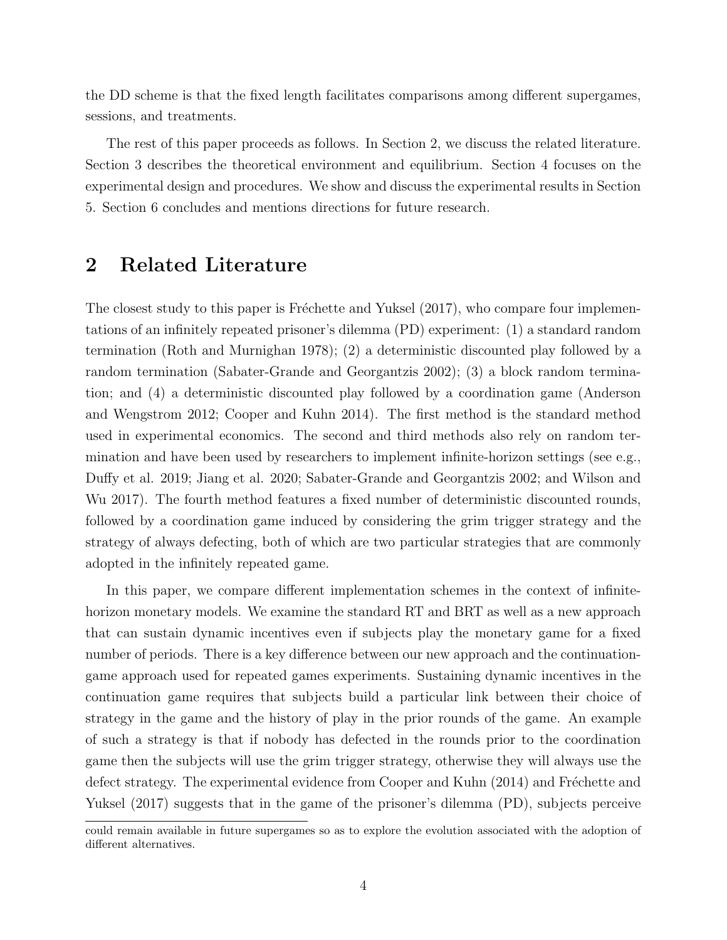the DD scheme is that the fixed length facilitates comparisons among different supergames, sessions, and treatments.

The rest of this paper proceeds as follows. In Section 2, we discuss the related literature. Section 3 describes the theoretical environment and equilibrium. Section 4 focuses on the experimental design and procedures. We show and discuss the experimental results in Section 5. Section 6 concludes and mentions directions for future research.

### 2 Related Literature

The closest study to this paper is Fréchette and Yuksel  $(2017)$ , who compare four implementations of an infinitely repeated prisoner's dilemma (PD) experiment: (1) a standard random termination (Roth and Murnighan 1978); (2) a deterministic discounted play followed by a random termination (Sabater-Grande and Georgantzis 2002); (3) a block random termination; and (4) a deterministic discounted play followed by a coordination game (Anderson and Wengstrom 2012; Cooper and Kuhn 2014). The first method is the standard method used in experimental economics. The second and third methods also rely on random termination and have been used by researchers to implement infinite-horizon settings (see e.g., Duffy et al. 2019; Jiang et al. 2020; Sabater-Grande and Georgantzis 2002; and Wilson and Wu 2017). The fourth method features a fixed number of deterministic discounted rounds, followed by a coordination game induced by considering the grim trigger strategy and the strategy of always defecting, both of which are two particular strategies that are commonly adopted in the infinitely repeated game.

In this paper, we compare different implementation schemes in the context of infinitehorizon monetary models. We examine the standard RT and BRT as well as a new approach that can sustain dynamic incentives even if subjects play the monetary game for a fixed number of periods. There is a key difference between our new approach and the continuationgame approach used for repeated games experiments. Sustaining dynamic incentives in the continuation game requires that subjects build a particular link between their choice of strategy in the game and the history of play in the prior rounds of the game. An example of such a strategy is that if nobody has defected in the rounds prior to the coordination game then the subjects will use the grim trigger strategy, otherwise they will always use the defect strategy. The experimental evidence from Cooper and Kuhn (2014) and Fréchette and Yuksel (2017) suggests that in the game of the prisoner's dilemma (PD), subjects perceive

could remain available in future supergames so as to explore the evolution associated with the adoption of different alternatives.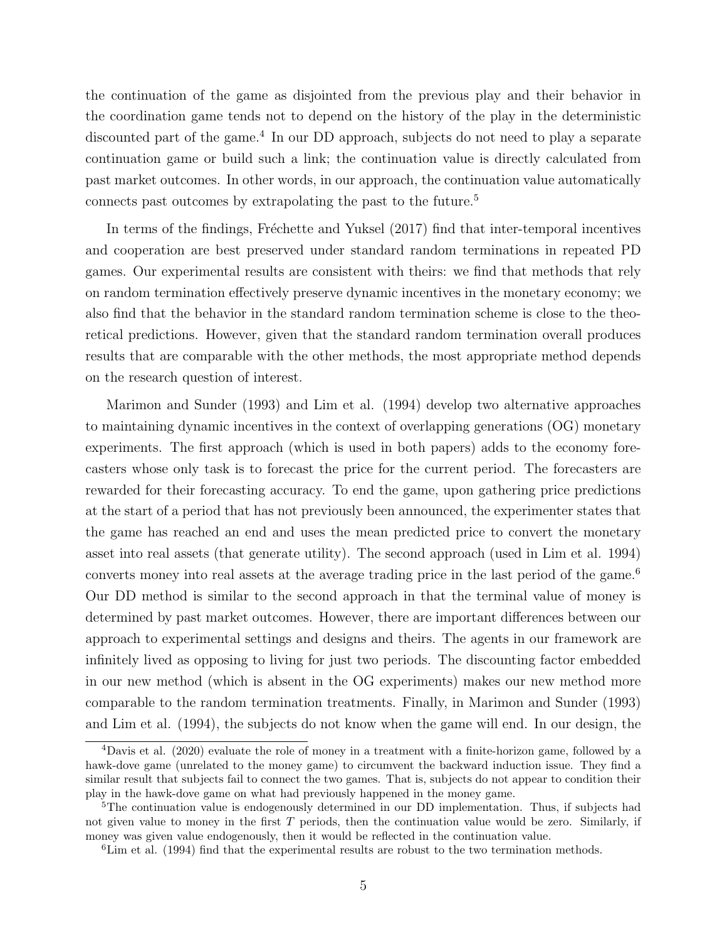the continuation of the game as disjointed from the previous play and their behavior in the coordination game tends not to depend on the history of the play in the deterministic discounted part of the game.<sup>4</sup> In our DD approach, subjects do not need to play a separate continuation game or build such a link; the continuation value is directly calculated from past market outcomes. In other words, in our approach, the continuation value automatically connects past outcomes by extrapolating the past to the future.<sup>5</sup>

In terms of the findings, Fréchette and Yuksel (2017) find that inter-temporal incentives and cooperation are best preserved under standard random terminations in repeated PD games. Our experimental results are consistent with theirs: we find that methods that rely on random termination effectively preserve dynamic incentives in the monetary economy; we also find that the behavior in the standard random termination scheme is close to the theoretical predictions. However, given that the standard random termination overall produces results that are comparable with the other methods, the most appropriate method depends on the research question of interest.

Marimon and Sunder (1993) and Lim et al. (1994) develop two alternative approaches to maintaining dynamic incentives in the context of overlapping generations (OG) monetary experiments. The first approach (which is used in both papers) adds to the economy forecasters whose only task is to forecast the price for the current period. The forecasters are rewarded for their forecasting accuracy. To end the game, upon gathering price predictions at the start of a period that has not previously been announced, the experimenter states that the game has reached an end and uses the mean predicted price to convert the monetary asset into real assets (that generate utility). The second approach (used in Lim et al. 1994) converts money into real assets at the average trading price in the last period of the game.<sup>6</sup> Our DD method is similar to the second approach in that the terminal value of money is determined by past market outcomes. However, there are important differences between our approach to experimental settings and designs and theirs. The agents in our framework are infinitely lived as opposing to living for just two periods. The discounting factor embedded in our new method (which is absent in the OG experiments) makes our new method more comparable to the random termination treatments. Finally, in Marimon and Sunder (1993) and Lim et al. (1994), the subjects do not know when the game will end. In our design, the

<sup>4</sup>Davis et al. (2020) evaluate the role of money in a treatment with a finite-horizon game, followed by a hawk-dove game (unrelated to the money game) to circumvent the backward induction issue. They find a similar result that subjects fail to connect the two games. That is, subjects do not appear to condition their play in the hawk-dove game on what had previously happened in the money game.

<sup>&</sup>lt;sup>5</sup>The continuation value is endogenously determined in our DD implementation. Thus, if subjects had not given value to money in the first  $T$  periods, then the continuation value would be zero. Similarly, if money was given value endogenously, then it would be reflected in the continuation value.

 $6$ Lim et al. (1994) find that the experimental results are robust to the two termination methods.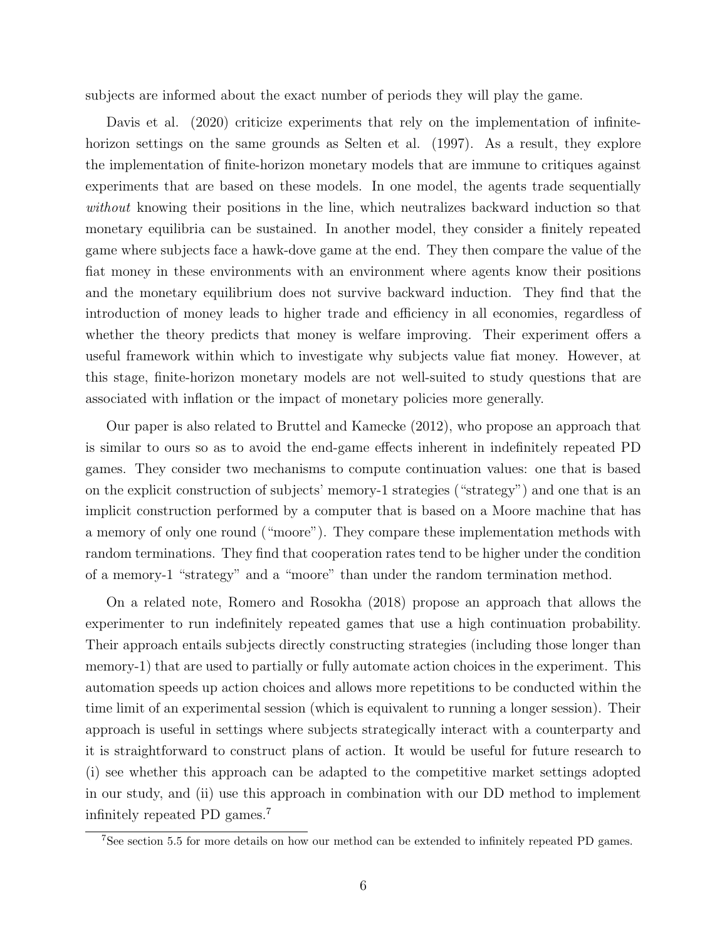subjects are informed about the exact number of periods they will play the game.

Davis et al. (2020) criticize experiments that rely on the implementation of infinitehorizon settings on the same grounds as Selten et al. (1997). As a result, they explore the implementation of finite-horizon monetary models that are immune to critiques against experiments that are based on these models. In one model, the agents trade sequentially without knowing their positions in the line, which neutralizes backward induction so that monetary equilibria can be sustained. In another model, they consider a finitely repeated game where subjects face a hawk-dove game at the end. They then compare the value of the fiat money in these environments with an environment where agents know their positions and the monetary equilibrium does not survive backward induction. They find that the introduction of money leads to higher trade and efficiency in all economies, regardless of whether the theory predicts that money is welfare improving. Their experiment offers a useful framework within which to investigate why subjects value fiat money. However, at this stage, finite-horizon monetary models are not well-suited to study questions that are associated with inflation or the impact of monetary policies more generally.

Our paper is also related to Bruttel and Kamecke (2012), who propose an approach that is similar to ours so as to avoid the end-game effects inherent in indefinitely repeated PD games. They consider two mechanisms to compute continuation values: one that is based on the explicit construction of subjects' memory-1 strategies ("strategy") and one that is an implicit construction performed by a computer that is based on a Moore machine that has a memory of only one round ("moore"). They compare these implementation methods with random terminations. They find that cooperation rates tend to be higher under the condition of a memory-1 "strategy" and a "moore" than under the random termination method.

On a related note, Romero and Rosokha (2018) propose an approach that allows the experimenter to run indefinitely repeated games that use a high continuation probability. Their approach entails subjects directly constructing strategies (including those longer than memory-1) that are used to partially or fully automate action choices in the experiment. This automation speeds up action choices and allows more repetitions to be conducted within the time limit of an experimental session (which is equivalent to running a longer session). Their approach is useful in settings where subjects strategically interact with a counterparty and it is straightforward to construct plans of action. It would be useful for future research to (i) see whether this approach can be adapted to the competitive market settings adopted in our study, and (ii) use this approach in combination with our DD method to implement infinitely repeated PD games.<sup>7</sup>

<sup>7</sup>See section 5.5 for more details on how our method can be extended to infinitely repeated PD games.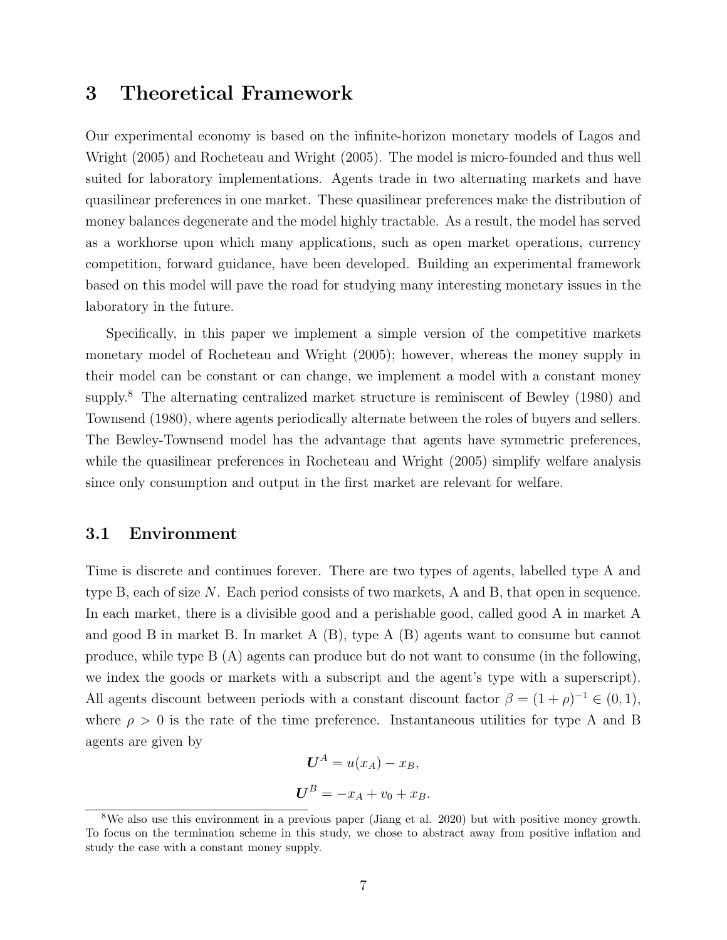### 3 Theoretical Framework

Our experimental economy is based on the infinite-horizon monetary models of Lagos and Wright (2005) and Rocheteau and Wright (2005). The model is micro-founded and thus well suited for laboratory implementations. Agents trade in two alternating markets and have quasilinear preferences in one market. These quasilinear preferences make the distribution of money balances degenerate and the model highly tractable. As a result, the model has served as a workhorse upon which many applications, such as open market operations, currency competition, forward guidance, have been developed. Building an experimental framework based on this model will pave the road for studying many interesting monetary issues in the laboratory in the future.

Specifically, in this paper we implement a simple version of the competitive markets monetary model of Rocheteau and Wright (2005); however, whereas the money supply in their model can be constant or can change, we implement a model with a constant money supply.<sup>8</sup> The alternating centralized market structure is reminiscent of Bewley (1980) and Townsend (1980), where agents periodically alternate between the roles of buyers and sellers. The Bewley-Townsend model has the advantage that agents have symmetric preferences, while the quasilinear preferences in Rocheteau and Wright (2005) simplify welfare analysis since only consumption and output in the first market are relevant for welfare.

#### 3.1 Environment

Time is discrete and continues forever. There are two types of agents, labelled type A and type B, each of size N. Each period consists of two markets, A and B, that open in sequence. In each market, there is a divisible good and a perishable good, called good A in market A and good B in market B. In market A (B), type A (B) agents want to consume but cannot produce, while type B (A) agents can produce but do not want to consume (in the following, we index the goods or markets with a subscript and the agent's type with a superscript). All agents discount between periods with a constant discount factor  $\beta = (1 + \rho)^{-1} \in (0, 1)$ , where  $\rho > 0$  is the rate of the time preference. Instantaneous utilities for type A and B agents are given by

$$
U^A = u(x_A) - x_B,
$$
  

$$
U^B = -x_A + v_0 + x_B.
$$

<sup>8</sup>We also use this environment in a previous paper (Jiang et al. 2020) but with positive money growth. To focus on the termination scheme in this study, we chose to abstract away from positive inflation and study the case with a constant money supply.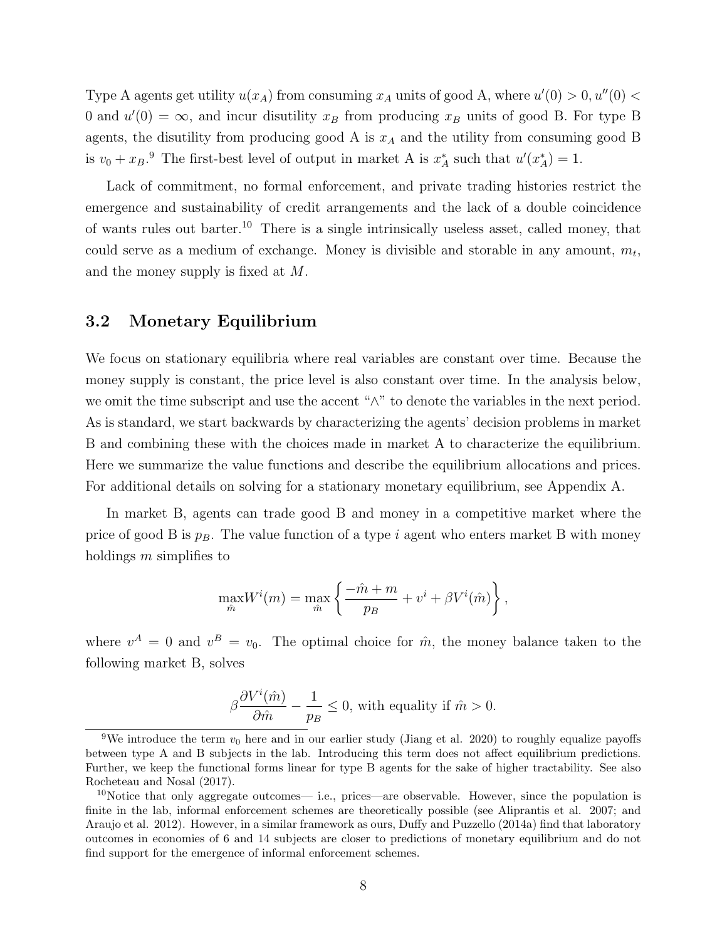Type A agents get utility  $u(x_A)$  from consuming  $x_A$  units of good A, where  $u'(0) > 0$ ,  $u''(0) <$ 0 and  $u'(0) = \infty$ , and incur disutility  $x_B$  from producing  $x_B$  units of good B. For type B agents, the disutility from producing good A is  $x_A$  and the utility from consuming good B is  $v_0 + x_B$ .<sup>9</sup> The first-best level of output in market A is  $x_A^*$  such that  $u'(x_A^*) = 1$ .

Lack of commitment, no formal enforcement, and private trading histories restrict the emergence and sustainability of credit arrangements and the lack of a double coincidence of wants rules out barter.<sup>10</sup> There is a single intrinsically useless asset, called money, that could serve as a medium of exchange. Money is divisible and storable in any amount,  $m_t$ , and the money supply is fixed at M.

### 3.2 Monetary Equilibrium

We focus on stationary equilibria where real variables are constant over time. Because the money supply is constant, the price level is also constant over time. In the analysis below, we omit the time subscript and use the accent "∧" to denote the variables in the next period. As is standard, we start backwards by characterizing the agents' decision problems in market B and combining these with the choices made in market A to characterize the equilibrium. Here we summarize the value functions and describe the equilibrium allocations and prices. For additional details on solving for a stationary monetary equilibrium, see Appendix A.

In market B, agents can trade good B and money in a competitive market where the price of good B is  $p_B$ . The value function of a type i agent who enters market B with money holdings  $m$  simplifies to

$$
\max_{\hat{m}} W^{i}(m) = \max_{\hat{m}} \left\{ \frac{-\hat{m} + m}{p_{B}} + v^{i} + \beta V^{i}(\hat{m}) \right\},\,
$$

where  $v^A = 0$  and  $v^B = v_0$ . The optimal choice for  $\hat{m}$ , the money balance taken to the following market B, solves

$$
\beta \frac{\partial V^i(\hat{m})}{\partial \hat{m}} - \frac{1}{p_B} \le 0
$$
, with equality if  $\hat{m} > 0$ .

<sup>&</sup>lt;sup>9</sup>We introduce the term  $v_0$  here and in our earlier study (Jiang et al. 2020) to roughly equalize payoffs between type A and B subjects in the lab. Introducing this term does not affect equilibrium predictions. Further, we keep the functional forms linear for type B agents for the sake of higher tractability. See also Rocheteau and Nosal (2017).

<sup>&</sup>lt;sup>10</sup>Notice that only aggregate outcomes— i.e., prices—are observable. However, since the population is finite in the lab, informal enforcement schemes are theoretically possible (see Aliprantis et al. 2007; and Araujo et al. 2012). However, in a similar framework as ours, Duffy and Puzzello (2014a) find that laboratory outcomes in economies of 6 and 14 subjects are closer to predictions of monetary equilibrium and do not find support for the emergence of informal enforcement schemes.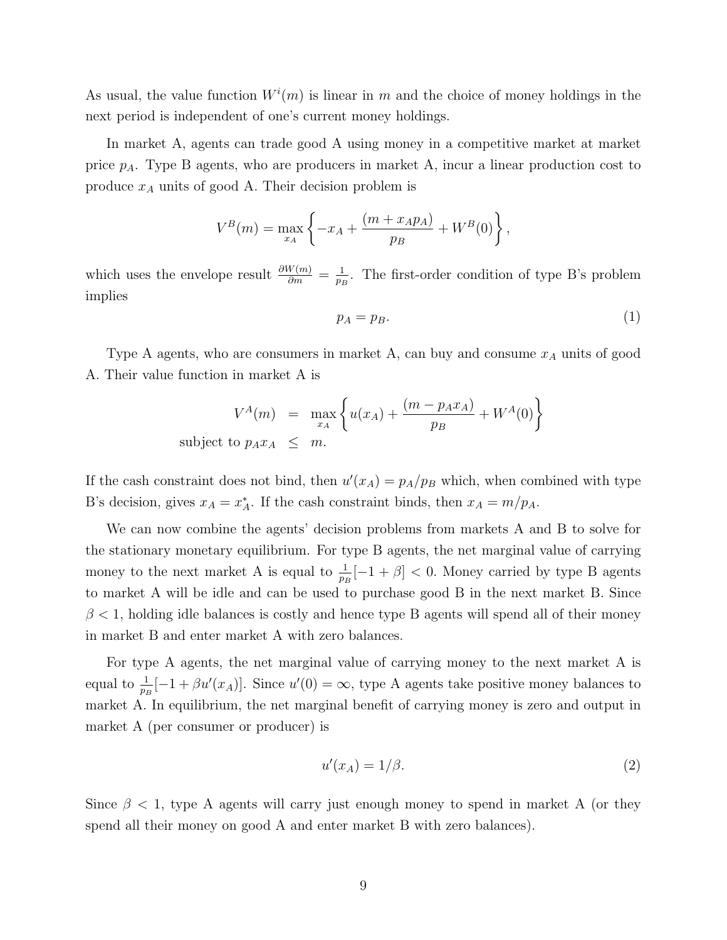As usual, the value function  $W^i(m)$  is linear in m and the choice of money holdings in the next period is independent of one's current money holdings.

In market A, agents can trade good A using money in a competitive market at market price  $p_A$ . Type B agents, who are producers in market A, incur a linear production cost to produce  $x_A$  units of good A. Their decision problem is

$$
V^{B}(m) = \max_{x_A} \left\{ -x_A + \frac{(m + x_A p_A)}{p_B} + W^B(0) \right\},\,
$$

which uses the envelope result  $\frac{\partial W(m)}{\partial m} = \frac{1}{p_B}$  $\frac{1}{p_B}$ . The first-order condition of type B's problem implies

$$
p_A = p_B. \tag{1}
$$

Type A agents, who are consumers in market A, can buy and consume  $x_A$  units of good A. Their value function in market A is

$$
V^{A}(m) = \max_{x_A} \left\{ u(x_A) + \frac{(m - p_A x_A)}{p_B} + W^{A}(0) \right\}
$$
subject to  $p_A x_A \leq m$ .

If the cash constraint does not bind, then  $u'(x_A) = p_A/p_B$  which, when combined with type B's decision, gives  $x_A = x_A^*$ . If the cash constraint binds, then  $x_A = m/p_A$ .

We can now combine the agents' decision problems from markets A and B to solve for the stationary monetary equilibrium. For type B agents, the net marginal value of carrying money to the next market A is equal to  $\frac{1}{p_B}[-1 + \beta] < 0$ . Money carried by type B agents to market A will be idle and can be used to purchase good B in the next market B. Since  $\beta$  < 1, holding idle balances is costly and hence type B agents will spend all of their money in market B and enter market A with zero balances.

For type A agents, the net marginal value of carrying money to the next market A is equal to  $\frac{1}{p_B}[-1 + \beta u'(x_A)]$ . Since  $u'(0) = \infty$ , type A agents take positive money balances to market A. In equilibrium, the net marginal benefit of carrying money is zero and output in market A (per consumer or producer) is

$$
u'(x_A) = 1/\beta. \tag{2}
$$

Since  $\beta$  < 1, type A agents will carry just enough money to spend in market A (or they spend all their money on good A and enter market B with zero balances).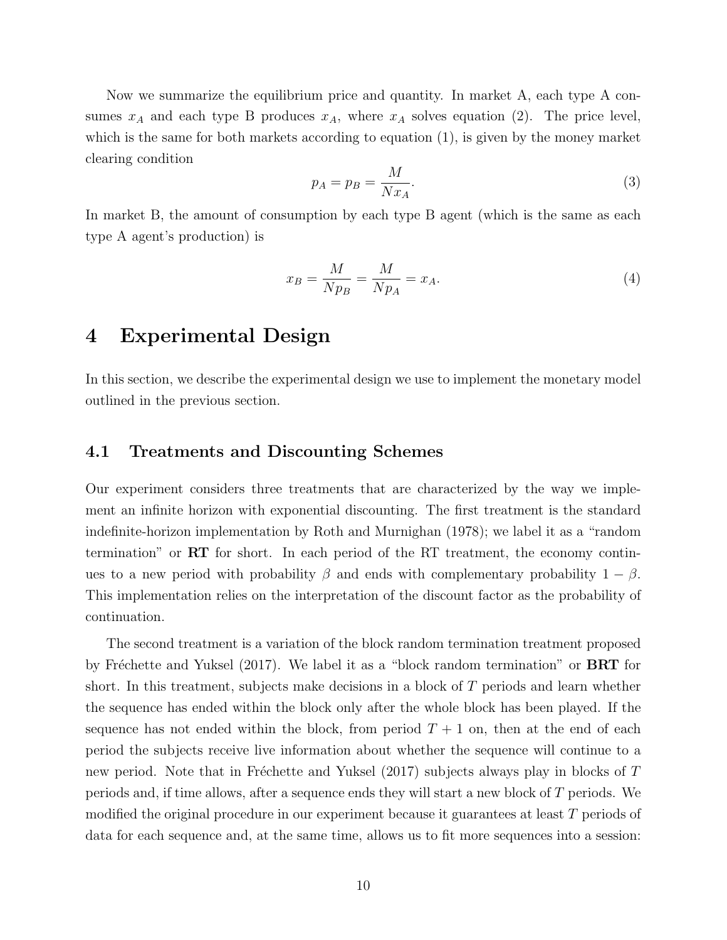Now we summarize the equilibrium price and quantity. In market A, each type A consumes  $x_A$  and each type B produces  $x_A$ , where  $x_A$  solves equation (2). The price level, which is the same for both markets according to equation (1), is given by the money market clearing condition

$$
p_A = p_B = \frac{M}{Nx_A}.\tag{3}
$$

In market B, the amount of consumption by each type B agent (which is the same as each type A agent's production) is

$$
x_B = \frac{M}{Np_B} = \frac{M}{Np_A} = x_A.
$$
\n<sup>(4)</sup>

### 4 Experimental Design

In this section, we describe the experimental design we use to implement the monetary model outlined in the previous section.

### 4.1 Treatments and Discounting Schemes

Our experiment considers three treatments that are characterized by the way we implement an infinite horizon with exponential discounting. The first treatment is the standard indefinite-horizon implementation by Roth and Murnighan (1978); we label it as a "random termination" or RT for short. In each period of the RT treatment, the economy continues to a new period with probability  $\beta$  and ends with complementary probability  $1 - \beta$ . This implementation relies on the interpretation of the discount factor as the probability of continuation.

The second treatment is a variation of the block random termination treatment proposed by Fréchette and Yuksel (2017). We label it as a "block random termination" or **BRT** for short. In this treatment, subjects make decisions in a block of  $T$  periods and learn whether the sequence has ended within the block only after the whole block has been played. If the sequence has not ended within the block, from period  $T + 1$  on, then at the end of each period the subjects receive live information about whether the sequence will continue to a new period. Note that in Fréchette and Yuksel  $(2017)$  subjects always play in blocks of T periods and, if time allows, after a sequence ends they will start a new block of T periods. We modified the original procedure in our experiment because it guarantees at least T periods of data for each sequence and, at the same time, allows us to fit more sequences into a session: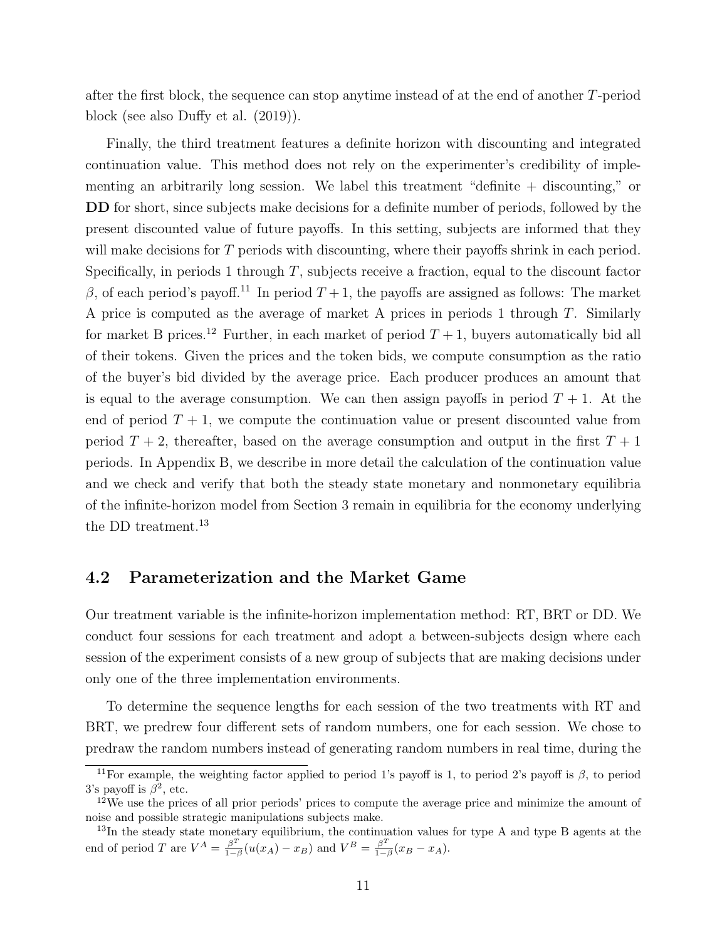after the first block, the sequence can stop anytime instead of at the end of another T-period block (see also Duffy et al. (2019)).

Finally, the third treatment features a definite horizon with discounting and integrated continuation value. This method does not rely on the experimenter's credibility of implementing an arbitrarily long session. We label this treatment "definite + discounting," or DD for short, since subjects make decisions for a definite number of periods, followed by the present discounted value of future payoffs. In this setting, subjects are informed that they will make decisions for T periods with discounting, where their payoffs shrink in each period. Specifically, in periods 1 through  $T$ , subjects receive a fraction, equal to the discount factor  $β$ , of each period's payoff.<sup>11</sup> In period  $T+1$ , the payoffs are assigned as follows: The market A price is computed as the average of market A prices in periods 1 through T. Similarly for market B prices.<sup>12</sup> Further, in each market of period  $T + 1$ , buyers automatically bid all of their tokens. Given the prices and the token bids, we compute consumption as the ratio of the buyer's bid divided by the average price. Each producer produces an amount that is equal to the average consumption. We can then assign payoffs in period  $T + 1$ . At the end of period  $T + 1$ , we compute the continuation value or present discounted value from period  $T + 2$ , thereafter, based on the average consumption and output in the first  $T + 1$ periods. In Appendix B, we describe in more detail the calculation of the continuation value and we check and verify that both the steady state monetary and nonmonetary equilibria of the infinite-horizon model from Section 3 remain in equilibria for the economy underlying the DD treatment.<sup>13</sup>

#### 4.2 Parameterization and the Market Game

Our treatment variable is the infinite-horizon implementation method: RT, BRT or DD. We conduct four sessions for each treatment and adopt a between-subjects design where each session of the experiment consists of a new group of subjects that are making decisions under only one of the three implementation environments.

To determine the sequence lengths for each session of the two treatments with RT and BRT, we predrew four different sets of random numbers, one for each session. We chose to predraw the random numbers instead of generating random numbers in real time, during the

<sup>&</sup>lt;sup>11</sup>For example, the weighting factor applied to period 1's payoff is 1, to period 2's payoff is  $\beta$ , to period 3's payoff is  $\beta^2$ , etc.

<sup>12</sup>We use the prices of all prior periods' prices to compute the average price and minimize the amount of noise and possible strategic manipulations subjects make.

<sup>&</sup>lt;sup>13</sup>In the steady state monetary equilibrium, the continuation values for type A and type B agents at the end of period T are  $V^A = \frac{\beta^T}{1 - \beta}$  $\frac{\beta^T}{1-\beta}(u(x_A) - x_B)$  and  $V^B = \frac{\beta^T}{1-\beta}$  $rac{\beta^2}{1-\beta}(x_B-x_A).$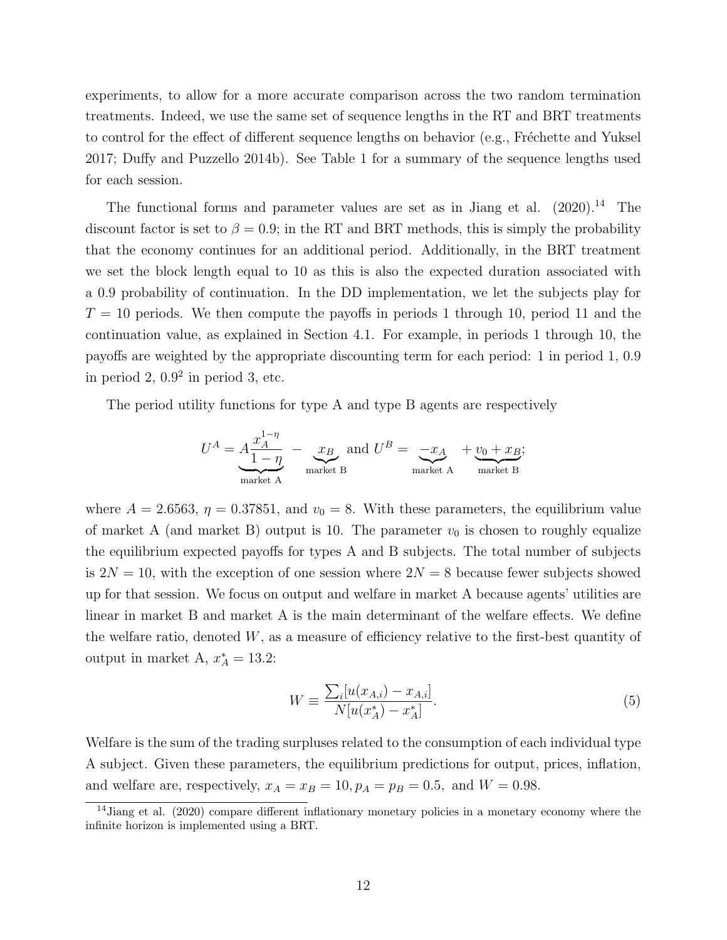experiments, to allow for a more accurate comparison across the two random termination treatments. Indeed, we use the same set of sequence lengths in the RT and BRT treatments to control for the effect of different sequence lengths on behavior (e.g., Fréchette and Yuksel 2017; Duffy and Puzzello 2014b). See Table 1 for a summary of the sequence lengths used for each session.

The functional forms and parameter values are set as in Jiang et al.  $(2020)^{14}$  The discount factor is set to  $\beta = 0.9$ ; in the RT and BRT methods, this is simply the probability that the economy continues for an additional period. Additionally, in the BRT treatment we set the block length equal to 10 as this is also the expected duration associated with a 0.9 probability of continuation. In the DD implementation, we let the subjects play for  $T = 10$  periods. We then compute the payoffs in periods 1 through 10, period 11 and the continuation value, as explained in Section 4.1. For example, in periods 1 through 10, the payoffs are weighted by the appropriate discounting term for each period: 1 in period 1, 0.9 in period  $2, 0.9<sup>2</sup>$  in period 3, etc.

The period utility functions for type A and type B agents are respectively

$$
U^{A} = A \frac{x_{A}^{1-\eta}}{1-\eta} - \underbrace{x_{B}}_{\text{market A}} \text{ and } U^{B} = \underbrace{-x_{A}}_{\text{market A}} + \underbrace{v_{0} + x_{B}}_{\text{market B}};
$$

where  $A = 2.6563$ ,  $\eta = 0.37851$ , and  $v_0 = 8$ . With these parameters, the equilibrium value of market A (and market B) output is 10. The parameter  $v_0$  is chosen to roughly equalize the equilibrium expected payoffs for types A and B subjects. The total number of subjects is  $2N = 10$ , with the exception of one session where  $2N = 8$  because fewer subjects showed up for that session. We focus on output and welfare in market A because agents' utilities are linear in market B and market A is the main determinant of the welfare effects. We define the welfare ratio, denoted  $W$ , as a measure of efficiency relative to the first-best quantity of output in market A,  $x_A^* = 13.2$ :

$$
W \equiv \frac{\sum_{i} [u(x_{A,i}) - x_{A,i}]}{N[u(x_A^*) - x_A^*]}.
$$
\n(5)

Welfare is the sum of the trading surpluses related to the consumption of each individual type A subject. Given these parameters, the equilibrium predictions for output, prices, inflation, and welfare are, respectively,  $x_A = x_B = 10, p_A = p_B = 0.5$ , and  $W = 0.98$ .

<sup>14</sup>Jiang et al. (2020) compare different inflationary monetary policies in a monetary economy where the infinite horizon is implemented using a BRT.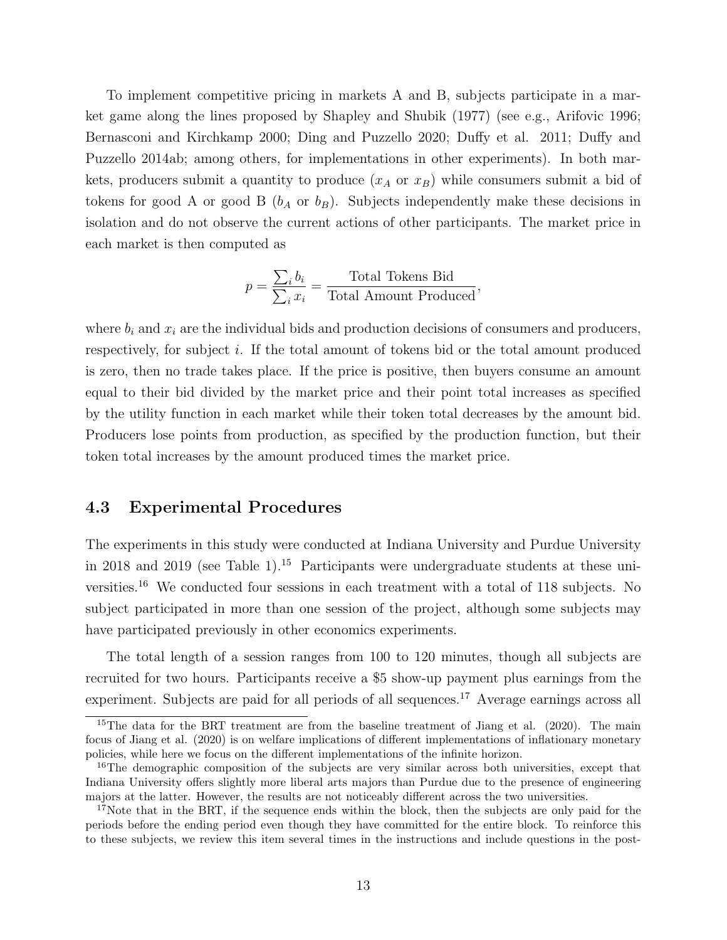To implement competitive pricing in markets A and B, subjects participate in a market game along the lines proposed by Shapley and Shubik (1977) (see e.g., Arifovic 1996; Bernasconi and Kirchkamp 2000; Ding and Puzzello 2020; Duffy et al. 2011; Duffy and Puzzello 2014ab; among others, for implementations in other experiments). In both markets, producers submit a quantity to produce  $(x_A \text{ or } x_B)$  while consumers submit a bid of tokens for good A or good B  $(b_A \text{ or } b_B)$ . Subjects independently make these decisions in isolation and do not observe the current actions of other participants. The market price in each market is then computed as

$$
p = \frac{\sum_i b_i}{\sum_i x_i} = \frac{\text{Total Tokens Bid}}{\text{Total Amount Produced}},
$$

where  $b_i$  and  $x_i$  are the individual bids and production decisions of consumers and producers, respectively, for subject i. If the total amount of tokens bid or the total amount produced is zero, then no trade takes place. If the price is positive, then buyers consume an amount equal to their bid divided by the market price and their point total increases as specified by the utility function in each market while their token total decreases by the amount bid. Producers lose points from production, as specified by the production function, but their token total increases by the amount produced times the market price.

#### 4.3 Experimental Procedures

The experiments in this study were conducted at Indiana University and Purdue University in 2018 and 2019 (see Table 1).<sup>15</sup> Participants were undergraduate students at these universities.<sup>16</sup> We conducted four sessions in each treatment with a total of 118 subjects. No subject participated in more than one session of the project, although some subjects may have participated previously in other economics experiments.

The total length of a session ranges from 100 to 120 minutes, though all subjects are recruited for two hours. Participants receive a \$5 show-up payment plus earnings from the experiment. Subjects are paid for all periods of all sequences.<sup>17</sup> Average earnings across all

<sup>&</sup>lt;sup>15</sup>The data for the BRT treatment are from the baseline treatment of Jiang et al. (2020). The main focus of Jiang et al. (2020) is on welfare implications of different implementations of inflationary monetary policies, while here we focus on the different implementations of the infinite horizon.

<sup>&</sup>lt;sup>16</sup>The demographic composition of the subjects are very similar across both universities, except that Indiana University offers slightly more liberal arts majors than Purdue due to the presence of engineering majors at the latter. However, the results are not noticeably different across the two universities.

<sup>&</sup>lt;sup>17</sup>Note that in the BRT, if the sequence ends within the block, then the subjects are only paid for the periods before the ending period even though they have committed for the entire block. To reinforce this to these subjects, we review this item several times in the instructions and include questions in the post-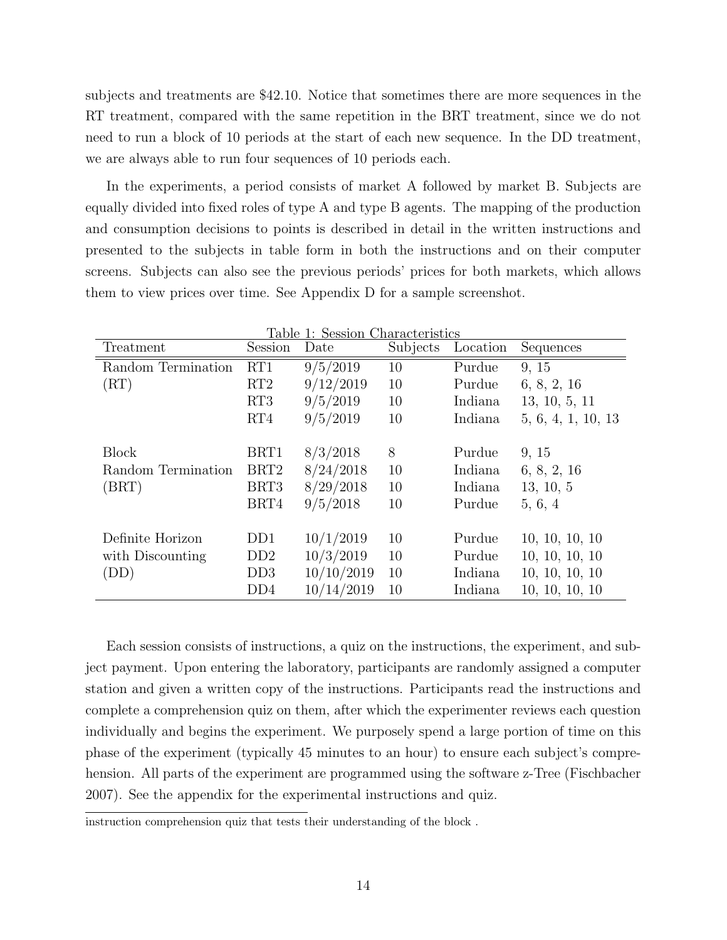subjects and treatments are \$42.10. Notice that sometimes there are more sequences in the RT treatment, compared with the same repetition in the BRT treatment, since we do not need to run a block of 10 periods at the start of each new sequence. In the DD treatment, we are always able to run four sequences of 10 periods each.

In the experiments, a period consists of market A followed by market B. Subjects are equally divided into fixed roles of type A and type B agents. The mapping of the production and consumption decisions to points is described in detail in the written instructions and presented to the subjects in table form in both the instructions and on their computer screens. Subjects can also see the previous periods' prices for both markets, which allows them to view prices over time. See Appendix D for a sample screenshot.

| Table 1: Session Characteristics |                  |            |          |          |                    |
|----------------------------------|------------------|------------|----------|----------|--------------------|
| Treatment                        | Session          | Date       | Subjects | Location | Sequences          |
| Random Termination               | RT1              | 9/5/2019   | 10       | Purdue   | 9, 15              |
| (RT)                             | RT2              | 9/12/2019  | 10       | Purdue   | 6, 8, 2, 16        |
|                                  | RT3              | 9/5/2019   | 10       | Indiana  | 13, 10, 5, 11      |
|                                  | RT4              | 9/5/2019   | 10       | Indiana  | 5, 6, 4, 1, 10, 13 |
|                                  |                  |            |          |          |                    |
| <b>Block</b>                     | BRT1             | 8/3/2018   | 8        | Purdue   | 9, 15              |
| Random Termination               | BRT <sub>2</sub> | 8/24/2018  | 10       | Indiana  | 6, 8, 2, 16        |
| (BRT)                            | BRT3             | 8/29/2018  | 10       | Indiana  | 13, 10, 5          |
|                                  | BRT4             | 9/5/2018   | 10       | Purdue   | 5, 6, 4            |
|                                  |                  |            |          |          |                    |
| Definite Horizon                 | D <sub>D</sub> 1 | 10/1/2019  | 10       | Purdue   | 10, 10, 10, 10     |
| with Discounting                 | DD2              | 10/3/2019  | 10       | Purdue   | 10, 10, 10, 10     |
| (DD)                             | DD3              | 10/10/2019 | 10       | Indiana  | 10, 10, 10, 10     |
|                                  | DD4              | 10/14/2019 | 10       | Indiana  | 10, 10, 10, 10     |

Each session consists of instructions, a quiz on the instructions, the experiment, and subject payment. Upon entering the laboratory, participants are randomly assigned a computer station and given a written copy of the instructions. Participants read the instructions and complete a comprehension quiz on them, after which the experimenter reviews each question individually and begins the experiment. We purposely spend a large portion of time on this phase of the experiment (typically 45 minutes to an hour) to ensure each subject's comprehension. All parts of the experiment are programmed using the software z-Tree (Fischbacher 2007). See the appendix for the experimental instructions and quiz.

instruction comprehension quiz that tests their understanding of the block .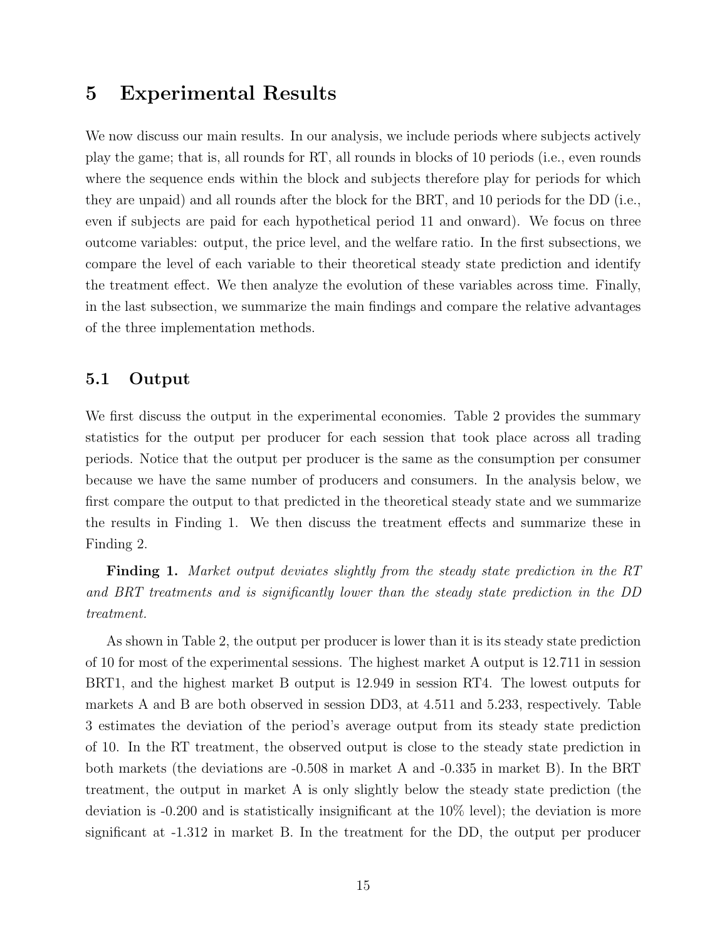### 5 Experimental Results

We now discuss our main results. In our analysis, we include periods where subjects actively play the game; that is, all rounds for RT, all rounds in blocks of 10 periods (i.e., even rounds where the sequence ends within the block and subjects therefore play for periods for which they are unpaid) and all rounds after the block for the BRT, and 10 periods for the DD (i.e., even if subjects are paid for each hypothetical period 11 and onward). We focus on three outcome variables: output, the price level, and the welfare ratio. In the first subsections, we compare the level of each variable to their theoretical steady state prediction and identify the treatment effect. We then analyze the evolution of these variables across time. Finally, in the last subsection, we summarize the main findings and compare the relative advantages of the three implementation methods.

#### 5.1 Output

We first discuss the output in the experimental economies. Table 2 provides the summary statistics for the output per producer for each session that took place across all trading periods. Notice that the output per producer is the same as the consumption per consumer because we have the same number of producers and consumers. In the analysis below, we first compare the output to that predicted in the theoretical steady state and we summarize the results in Finding 1. We then discuss the treatment effects and summarize these in Finding 2.

**Finding 1.** Market output deviates slightly from the steady state prediction in the RT and BRT treatments and is significantly lower than the steady state prediction in the DD treatment.

As shown in Table 2, the output per producer is lower than it is its steady state prediction of 10 for most of the experimental sessions. The highest market A output is 12.711 in session BRT1, and the highest market B output is 12.949 in session RT4. The lowest outputs for markets A and B are both observed in session DD3, at 4.511 and 5.233, respectively. Table 3 estimates the deviation of the period's average output from its steady state prediction of 10. In the RT treatment, the observed output is close to the steady state prediction in both markets (the deviations are -0.508 in market A and -0.335 in market B). In the BRT treatment, the output in market A is only slightly below the steady state prediction (the deviation is -0.200 and is statistically insignificant at the 10% level); the deviation is more significant at -1.312 in market B. In the treatment for the DD, the output per producer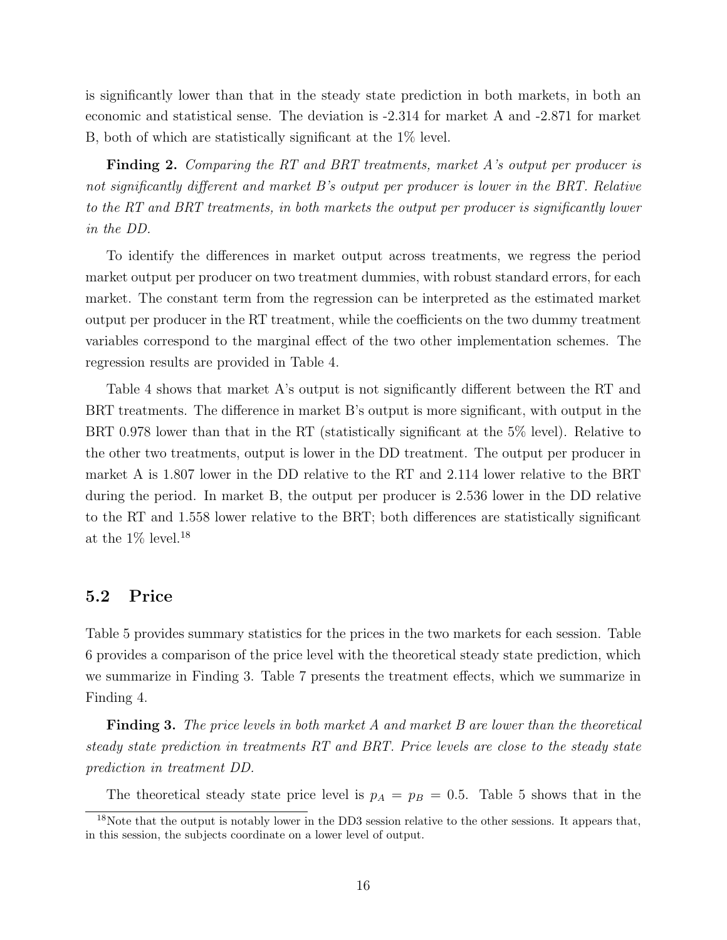is significantly lower than that in the steady state prediction in both markets, in both an economic and statistical sense. The deviation is -2.314 for market A and -2.871 for market B, both of which are statistically significant at the 1% level.

**Finding 2.** Comparing the RT and BRT treatments, market A's output per producer is not significantly different and market B's output per producer is lower in the BRT. Relative to the RT and BRT treatments, in both markets the output per producer is significantly lower in the DD.

To identify the differences in market output across treatments, we regress the period market output per producer on two treatment dummies, with robust standard errors, for each market. The constant term from the regression can be interpreted as the estimated market output per producer in the RT treatment, while the coefficients on the two dummy treatment variables correspond to the marginal effect of the two other implementation schemes. The regression results are provided in Table 4.

Table 4 shows that market A's output is not significantly different between the RT and BRT treatments. The difference in market B's output is more significant, with output in the BRT 0.978 lower than that in the RT (statistically significant at the 5% level). Relative to the other two treatments, output is lower in the DD treatment. The output per producer in market A is 1.807 lower in the DD relative to the RT and 2.114 lower relative to the BRT during the period. In market B, the output per producer is 2.536 lower in the DD relative to the RT and 1.558 lower relative to the BRT; both differences are statistically significant at the  $1\%$  level.<sup>18</sup>

#### 5.2 Price

Table 5 provides summary statistics for the prices in the two markets for each session. Table 6 provides a comparison of the price level with the theoretical steady state prediction, which we summarize in Finding 3. Table 7 presents the treatment effects, which we summarize in Finding 4.

**Finding 3.** The price levels in both market A and market B are lower than the theoretical steady state prediction in treatments RT and BRT. Price levels are close to the steady state prediction in treatment DD.

The theoretical steady state price level is  $p_A = p_B = 0.5$ . Table 5 shows that in the

 $18$ Note that the output is notably lower in the DD3 session relative to the other sessions. It appears that, in this session, the subjects coordinate on a lower level of output.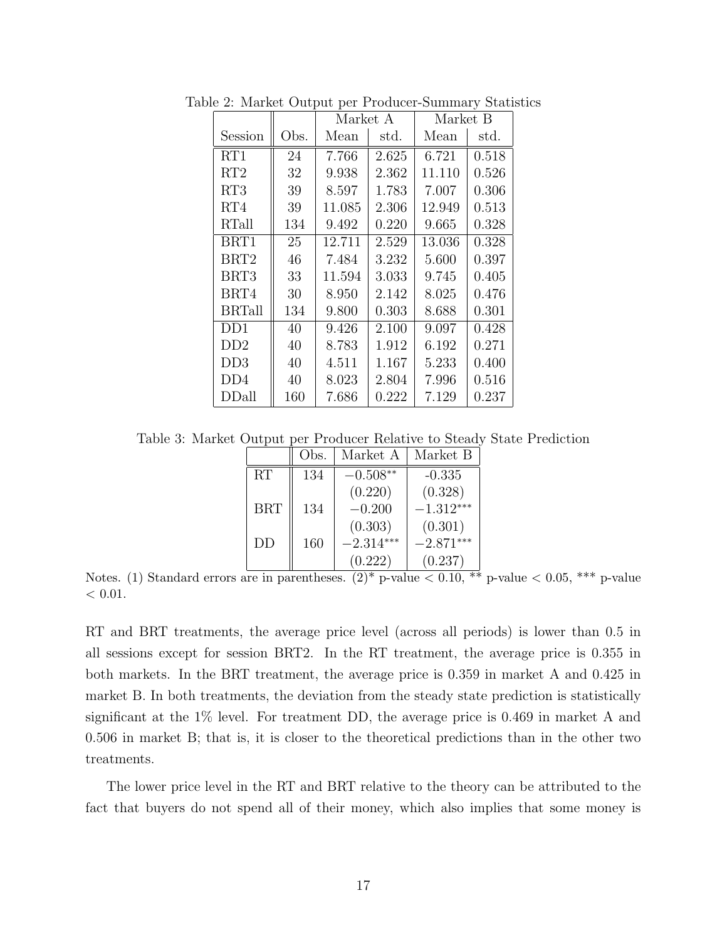|               |      | Market A |       | Market B |       |
|---------------|------|----------|-------|----------|-------|
| Session       | Obs. | Mean     | std.  | Mean     | std.  |
| RT1           | 24   | 7.766    | 2.625 | 6.721    | 0.518 |
| RT2           | 32   | 9.938    | 2.362 | 11.110   | 0.526 |
| RT3           | 39   | 8.597    | 1.783 | 7.007    | 0.306 |
| RT4           | 39   | 11.085   | 2.306 | 12.949   | 0.513 |
| RTall         | 134  | 9.492    | 0.220 | 9.665    | 0.328 |
| BRT1          | 25   | 12.711   | 2.529 | 13.036   | 0.328 |
| BRT2          | 46   | 7.484    | 3.232 | 5.600    | 0.397 |
| BRT3          | 33   | 11.594   | 3.033 | 9.745    | 0.405 |
| BRT4          | 30   | 8.950    | 2.142 | 8.025    | 0.476 |
| <b>BRTall</b> | 134  | 9.800    | 0.303 | 8.688    | 0.301 |
| DD1           | 40   | 9.426    | 2.100 | 9.097    | 0.428 |
| DD2           | 40   | 8.783    | 1.912 | 6.192    | 0.271 |
| DD3           | 40   | 4.511    | 1.167 | 5.233    | 0.400 |
| DD4           | 40   | 8.023    | 2.804 | 7.996    | 0.516 |
| DDall         | 160  | 7.686    | 0.222 | 7.129    | 0.237 |

Table 2: Market Output per Producer-Summary Statistics

Table 3: Market Output per Producer Relative to Steady State Prediction

|            | Obs. | Market A    | Market B    |
|------------|------|-------------|-------------|
| RT         | 134  | $-0.508**$  | $-0.335$    |
|            |      | (0.220)     | (0.328)     |
| <b>BRT</b> | 134  | $-0.200$    | $-1.312***$ |
|            |      | (0.303)     | (0.301)     |
| DD         | 160  | $-2.314***$ | $-2.871***$ |
|            |      | (0.222)     | (0.237)     |

Notes. (1) Standard errors are in parentheses.  $(2)^*$  p-value  $\lt 0.10$ ,  $\ast\ast$  p-value  $\lt 0.05$ ,  $\ast\ast\ast$  p-value  $< 0.01$ .

RT and BRT treatments, the average price level (across all periods) is lower than 0.5 in all sessions except for session BRT2. In the RT treatment, the average price is 0.355 in both markets. In the BRT treatment, the average price is 0.359 in market A and 0.425 in market B. In both treatments, the deviation from the steady state prediction is statistically significant at the 1% level. For treatment DD, the average price is 0.469 in market A and 0.506 in market B; that is, it is closer to the theoretical predictions than in the other two treatments.

The lower price level in the RT and BRT relative to the theory can be attributed to the fact that buyers do not spend all of their money, which also implies that some money is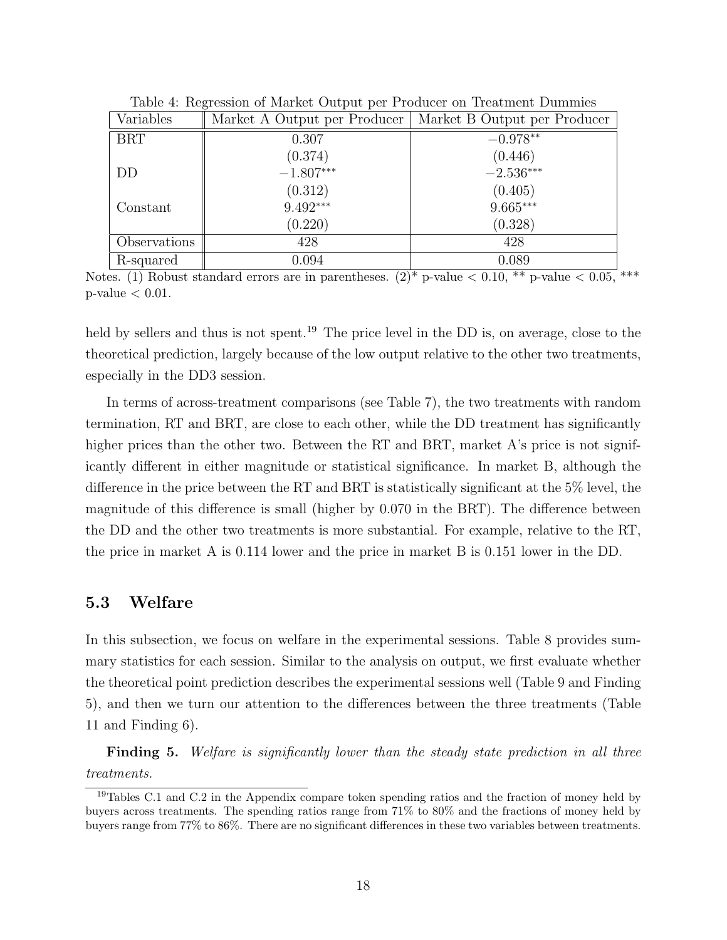| Variables    | Market A Output per Producer | Market B Output per Producer |
|--------------|------------------------------|------------------------------|
| <b>BRT</b>   | 0.307                        | $-0.978**$                   |
|              | (0.374)                      | (0.446)                      |
| DD           | $-1.807***$                  | $-2.536***$                  |
|              | (0.312)                      | (0.405)                      |
| Constant     | $9.492***$                   | $9.665***$                   |
|              | (0.220)                      | (0.328)                      |
| Observations | 428                          | 428                          |
| R-squared    | 0.094                        | 0.089                        |

Table 4: Regression of Market Output per Producer on Treatment Dummies

Notes. (1) Robust standard errors are in parentheses.  $(2)^*$  p-value  $\lt 0.10$ , \*\* p-value  $\lt 0.05$ , \*\*\*  $p$ -value  $< 0.01$ .

held by sellers and thus is not spent.<sup>19</sup> The price level in the DD is, on average, close to the theoretical prediction, largely because of the low output relative to the other two treatments, especially in the DD3 session.

In terms of across-treatment comparisons (see Table 7), the two treatments with random termination, RT and BRT, are close to each other, while the DD treatment has significantly higher prices than the other two. Between the RT and BRT, market A's price is not significantly different in either magnitude or statistical significance. In market B, although the difference in the price between the RT and BRT is statistically significant at the 5% level, the magnitude of this difference is small (higher by 0.070 in the BRT). The difference between the DD and the other two treatments is more substantial. For example, relative to the RT, the price in market A is 0.114 lower and the price in market B is 0.151 lower in the DD.

### 5.3 Welfare

In this subsection, we focus on welfare in the experimental sessions. Table 8 provides summary statistics for each session. Similar to the analysis on output, we first evaluate whether the theoretical point prediction describes the experimental sessions well (Table 9 and Finding 5), and then we turn our attention to the differences between the three treatments (Table 11 and Finding 6).

**Finding 5.** Welfare is significantly lower than the steady state prediction in all three treatments.

<sup>&</sup>lt;sup>19</sup>Tables C.1 and C.2 in the Appendix compare token spending ratios and the fraction of money held by buyers across treatments. The spending ratios range from 71% to 80% and the fractions of money held by buyers range from 77% to 86%. There are no significant differences in these two variables between treatments.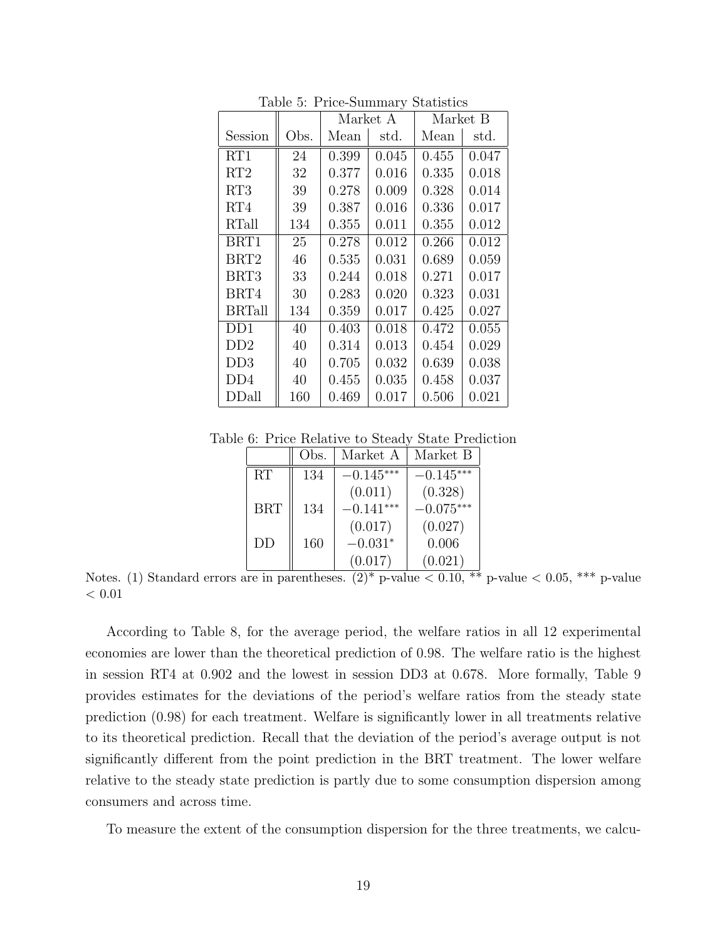|                  |      | Market A |       | Market B |       |
|------------------|------|----------|-------|----------|-------|
| Session          | Obs. | Mean     | std.  | Mean     | std.  |
| RT1              | 24   | 0.399    | 0.045 | 0.455    | 0.047 |
| RT2              | 32   | 0.377    | 0.016 | 0.335    | 0.018 |
| RT3              | 39   | 0.278    | 0.009 | 0.328    | 0.014 |
| RT4              | 39   | 0.387    | 0.016 | 0.336    | 0.017 |
| RTall            | 134  | 0.355    | 0.011 | 0.355    | 0.012 |
| BRT1             | 25   | 0.278    | 0.012 | 0.266    | 0.012 |
| BRT <sub>2</sub> | 46   | 0.535    | 0.031 | 0.689    | 0.059 |
| BRT3             | 33   | 0.244    | 0.018 | 0.271    | 0.017 |
| BRT4             | 30   | 0.283    | 0.020 | 0.323    | 0.031 |
| <b>BRTall</b>    | 134  | 0.359    | 0.017 | 0.425    | 0.027 |
| DD1              | 40   | 0.403    | 0.018 | 0.472    | 0.055 |
| DD2              | 40   | 0.314    | 0.013 | 0.454    | 0.029 |
| DD3              | 40   | 0.705    | 0.032 | 0.639    | 0.038 |
| DD4              | 40   | 0.455    | 0.035 | 0.458    | 0.037 |
| DDall            | 160  | 0.469    | 0.017 | 0.506    | 0.021 |

Table 5: Price-Summary Statistics

Table 6: Price Relative to Steady State Prediction

|            | Obs. | Market A    | Market B    |
|------------|------|-------------|-------------|
| RT         | 134  | $-0.145***$ | $-0.145***$ |
|            |      | (0.011)     | (0.328)     |
| <b>BRT</b> | 134  | $-0.141***$ | $-0.075***$ |
|            |      | (0.017)     | (0.027)     |
| DD         | 160  | $-0.031*$   | 0.006       |
|            |      | (0.017)     | (0.021)     |

Notes. (1) Standard errors are in parentheses.  $(2)^*$  p-value  $\lt 0.10$ , \*\* p-value  $\lt 0.05$ , \*\*\* p-value  $< 0.01$ 

According to Table 8, for the average period, the welfare ratios in all 12 experimental economies are lower than the theoretical prediction of 0.98. The welfare ratio is the highest in session RT4 at 0.902 and the lowest in session DD3 at 0.678. More formally, Table 9 provides estimates for the deviations of the period's welfare ratios from the steady state prediction (0.98) for each treatment. Welfare is significantly lower in all treatments relative to its theoretical prediction. Recall that the deviation of the period's average output is not significantly different from the point prediction in the BRT treatment. The lower welfare relative to the steady state prediction is partly due to some consumption dispersion among consumers and across time.

To measure the extent of the consumption dispersion for the three treatments, we calcu-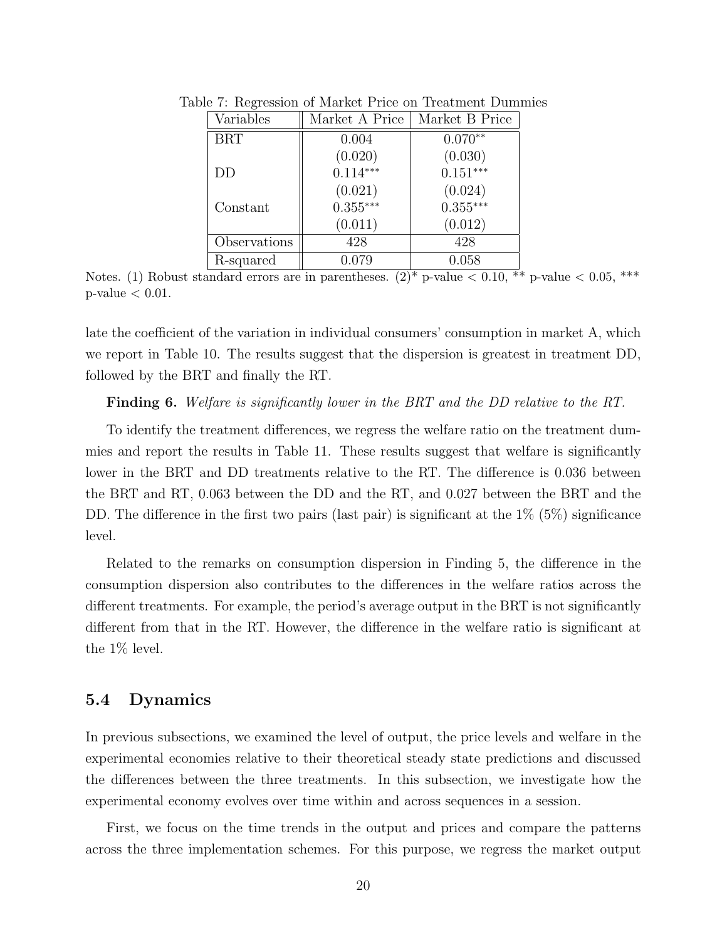| Variables    | Market A Price | Market B Price |
|--------------|----------------|----------------|
| <b>BRT</b>   | 0.004          | $0.070**$      |
|              | (0.020)        | (0.030)        |
| DD           | $0.114***$     | $0.151***$     |
|              | (0.021)        | (0.024)        |
| Constant     | $0.355***$     | $0.355***$     |
|              | (0.011)        | (0.012)        |
| Observations | 428            | 428            |
| R-squared    | 0.079          | 0.058          |

Table 7: Regression of Market Price on Treatment Dummies

Notes. (1) Robust standard errors are in parentheses.  $(2)^*$  p-value  $\lt 0.10, **$  p-value  $\lt 0.05, **$  $p$ -value  $< 0.01$ .

late the coefficient of the variation in individual consumers' consumption in market A, which we report in Table 10. The results suggest that the dispersion is greatest in treatment DD, followed by the BRT and finally the RT.

Finding 6. Welfare is significantly lower in the BRT and the DD relative to the RT.

To identify the treatment differences, we regress the welfare ratio on the treatment dummies and report the results in Table 11. These results suggest that welfare is significantly lower in the BRT and DD treatments relative to the RT. The difference is 0.036 between the BRT and RT, 0.063 between the DD and the RT, and 0.027 between the BRT and the DD. The difference in the first two pairs (last pair) is significant at the 1\% (5\%) significance level.

Related to the remarks on consumption dispersion in Finding 5, the difference in the consumption dispersion also contributes to the differences in the welfare ratios across the different treatments. For example, the period's average output in the BRT is not significantly different from that in the RT. However, the difference in the welfare ratio is significant at the 1% level.

### 5.4 Dynamics

In previous subsections, we examined the level of output, the price levels and welfare in the experimental economies relative to their theoretical steady state predictions and discussed the differences between the three treatments. In this subsection, we investigate how the experimental economy evolves over time within and across sequences in a session.

First, we focus on the time trends in the output and prices and compare the patterns across the three implementation schemes. For this purpose, we regress the market output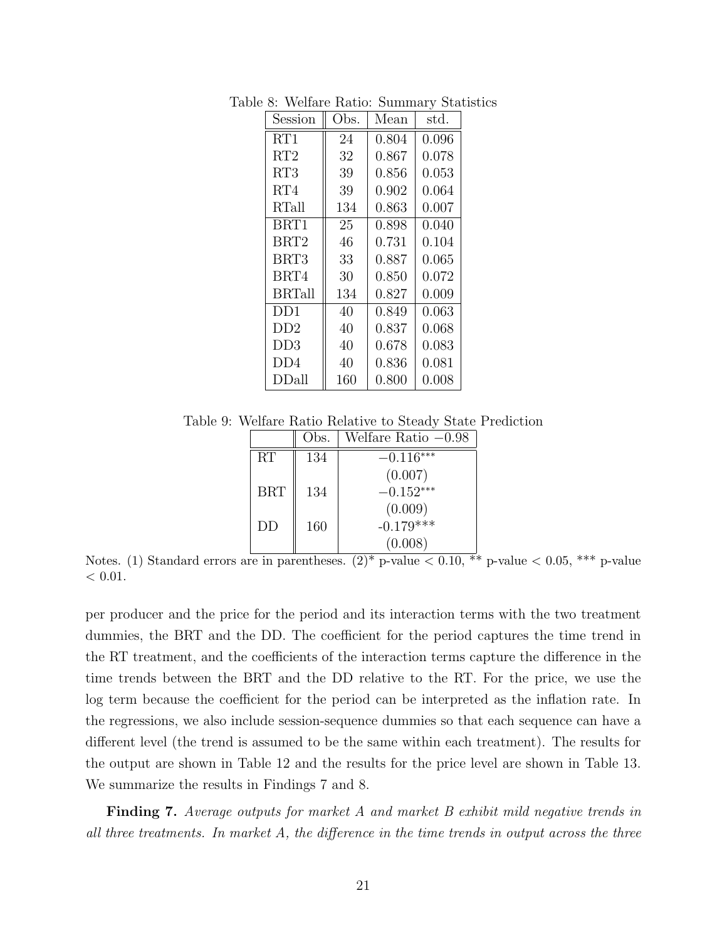| Session          | Obs. | Mean  | std.  |
|------------------|------|-------|-------|
| RT1              | 24   | 0.804 | 0.096 |
| RT2              | 32   | 0.867 | 0.078 |
| RT3              | 39   | 0.856 | 0.053 |
| RT4              | 39   | 0.902 | 0.064 |
| RTall            | 134  | 0.863 | 0.007 |
| BRT1             | 25   | 0.898 | 0.040 |
| BRT <sub>2</sub> | 46   | 0.731 | 0.104 |
| BRT3             | 33   | 0.887 | 0.065 |
| BRT4             | 30   | 0.850 | 0.072 |
| <b>BRTall</b>    | 134  | 0.827 | 0.009 |
| DD1              | 40   | 0.849 | 0.063 |
| DD2              | 40   | 0.837 | 0.068 |
| DD3              | 40   | 0.678 | 0.083 |
| DD4              | 40   | 0.836 | 0.081 |
| DDall            | 160  | 0.800 | 0.008 |

Table 8: Welfare Ratio: Summary Statistics

Table 9: Welfare Ratio Relative to Steady State Prediction

|            | Obs. | Welfare Ratio $-0.98$ |
|------------|------|-----------------------|
| RT         | 134  | $-0.116***$           |
|            |      | (0.007)               |
| <b>BRT</b> | 134  | $-0.152***$           |
|            |      | (0.009)               |
| DD         | 160  | $-0.179***$           |
|            |      | (0.008)               |

Notes. (1) Standard errors are in parentheses.  $(2)^*$  p-value  $\lt 0.10$ , \*\* p-value  $\lt 0.05$ , \*\*\* p-value  $< 0.01$ .

per producer and the price for the period and its interaction terms with the two treatment dummies, the BRT and the DD. The coefficient for the period captures the time trend in the RT treatment, and the coefficients of the interaction terms capture the difference in the time trends between the BRT and the DD relative to the RT. For the price, we use the log term because the coefficient for the period can be interpreted as the inflation rate. In the regressions, we also include session-sequence dummies so that each sequence can have a different level (the trend is assumed to be the same within each treatment). The results for the output are shown in Table 12 and the results for the price level are shown in Table 13. We summarize the results in Findings 7 and 8.

Finding 7. Average outputs for market A and market B exhibit mild negative trends in all three treatments. In market A, the difference in the time trends in output across the three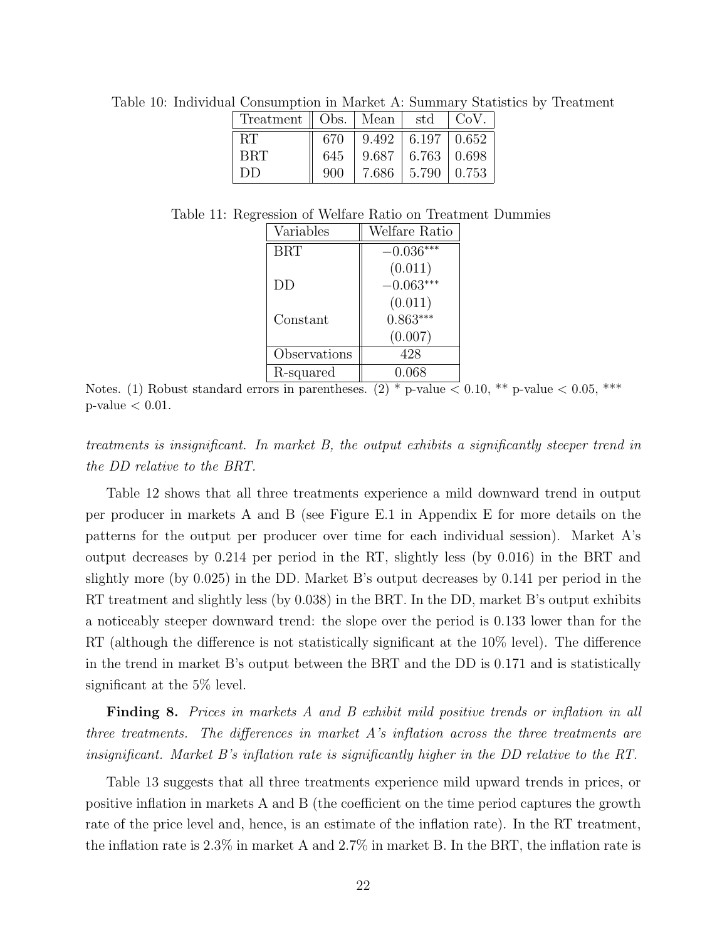| Treatment    Obs.   Mean |     |       | std                         | CoV.  |
|--------------------------|-----|-------|-----------------------------|-------|
| RТ                       | 670 |       | $9.492 \pm 6.197 \pm 0.652$ |       |
| BRT                      | 645 | 9.687 | $\mid 6.763 \mid 0.698$     |       |
| DD                       | 900 | 7.686 | 5.790                       | 0.753 |

Table 10: Individual Consumption in Market A: Summary Statistics by Treatment

Table 11: Regression of Welfare Ratio on Treatment Dummies

| Variables    | Welfare Ratio |
|--------------|---------------|
| <b>BRT</b>   | $-0.036***$   |
|              | (0.011)       |
| DD           | $-0.063***$   |
|              | (0.011)       |
| Constant     | $0.863***$    |
|              | (0.007)       |
| Observations | 428           |
| R-squared    | 0.068         |

Notes. (1) Robust standard errors in parentheses. (2)  $*$  p-value  $< 0.10, **$  p-value  $< 0.05, **$  $p$ -value  $< 0.01$ .

treatments is insignificant. In market B, the output exhibits a significantly steeper trend in the DD relative to the BRT.

Table 12 shows that all three treatments experience a mild downward trend in output per producer in markets A and B (see Figure E.1 in Appendix E for more details on the patterns for the output per producer over time for each individual session). Market A's output decreases by 0.214 per period in the RT, slightly less (by 0.016) in the BRT and slightly more (by 0.025) in the DD. Market B's output decreases by 0.141 per period in the RT treatment and slightly less (by 0.038) in the BRT. In the DD, market B's output exhibits a noticeably steeper downward trend: the slope over the period is 0.133 lower than for the RT (although the difference is not statistically significant at the 10% level). The difference in the trend in market B's output between the BRT and the DD is 0.171 and is statistically significant at the 5% level.

**Finding 8.** Prices in markets A and B exhibit mild positive trends or inflation in all three treatments. The differences in market A's inflation across the three treatments are insignificant. Market B's inflation rate is significantly higher in the DD relative to the RT.

Table 13 suggests that all three treatments experience mild upward trends in prices, or positive inflation in markets A and B (the coefficient on the time period captures the growth rate of the price level and, hence, is an estimate of the inflation rate). In the RT treatment, the inflation rate is 2.3% in market A and 2.7% in market B. In the BRT, the inflation rate is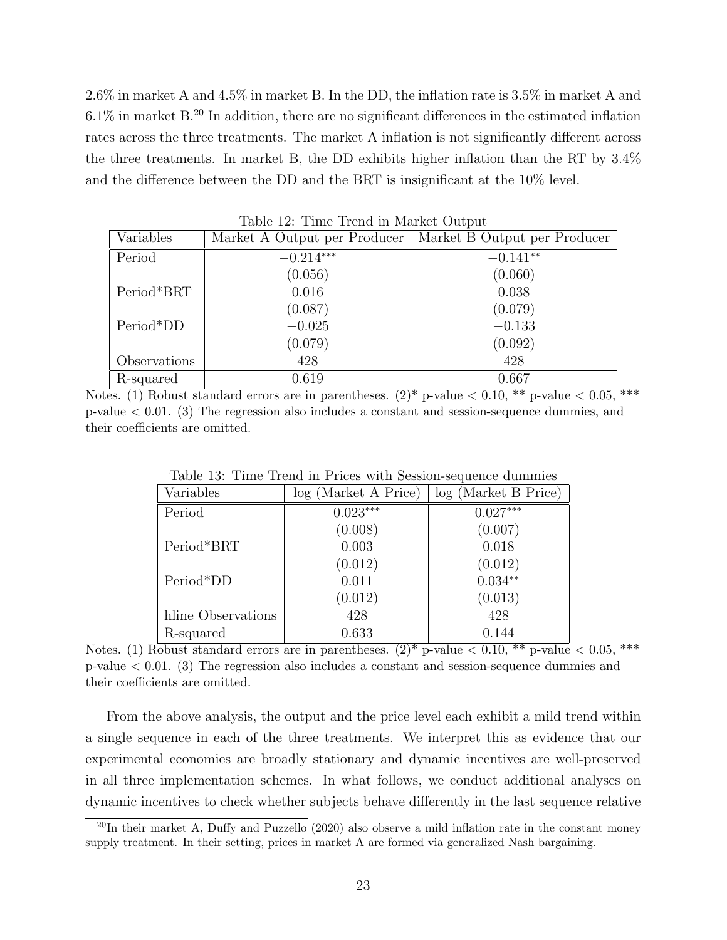2.6% in market A and 4.5% in market B. In the DD, the inflation rate is 3.5% in market A and  $6.1\%$  in market B.<sup>20</sup> In addition, there are no significant differences in the estimated inflation rates across the three treatments. The market A inflation is not significantly different across the three treatments. In market B, the DD exhibits higher inflation than the RT by 3.4% and the difference between the DD and the BRT is insignificant at the 10% level.

|              | rapio rei rillio richa in manico o aopao |                              |  |  |  |
|--------------|------------------------------------------|------------------------------|--|--|--|
| Variables    | Market A Output per Producer             | Market B Output per Producer |  |  |  |
| Period       | $-0.214***$                              | $-0.141**$                   |  |  |  |
|              | (0.056)                                  | (0.060)                      |  |  |  |
| Period*BRT   | 0.016                                    | 0.038                        |  |  |  |
|              | (0.087)                                  | (0.079)                      |  |  |  |
| Period*DD    | $-0.025$                                 | $-0.133$                     |  |  |  |
|              | (0.079)                                  | (0.092)                      |  |  |  |
| Observations | 428                                      | 428                          |  |  |  |
| R-squared    | 0.619                                    | 0.667                        |  |  |  |

Table 12: Time Trend in Market Output

Notes. (1) Robust standard errors are in parentheses.  $(2)^*$  p-value  $< 0.10, **$  p-value  $< 0.05, **$ p-value < 0.01. (3) The regression also includes a constant and session-sequence dummies, and their coefficients are omitted.

| Variables          | log (Market A Price) | log (Market B Price) |
|--------------------|----------------------|----------------------|
| Period             | $0.023***$           | $0.027***$           |
|                    | (0.008)              | (0.007)              |
| Period*BRT         | 0.003                | 0.018                |
|                    | (0.012)              | (0.012)              |
| Period*DD          | 0.011                | $0.034**$            |
|                    | (0.012)              | (0.013)              |
| hline Observations | 428                  | 428                  |
| R-squared          | 0.633                | 0.144                |

Table 13: Time Trend in Prices with Session-sequence dummies

Notes. (1) Robust standard errors are in parentheses.  $(2)^*$  p-value  $\lt 0.10$ , \*\* p-value  $\lt 0.05$ , \*\*\* p-value < 0.01. (3) The regression also includes a constant and session-sequence dummies and their coefficients are omitted.

From the above analysis, the output and the price level each exhibit a mild trend within a single sequence in each of the three treatments. We interpret this as evidence that our experimental economies are broadly stationary and dynamic incentives are well-preserved in all three implementation schemes. In what follows, we conduct additional analyses on dynamic incentives to check whether subjects behave differently in the last sequence relative

 $^{20}$ In their market A, Duffy and Puzzello (2020) also observe a mild inflation rate in the constant money supply treatment. In their setting, prices in market A are formed via generalized Nash bargaining.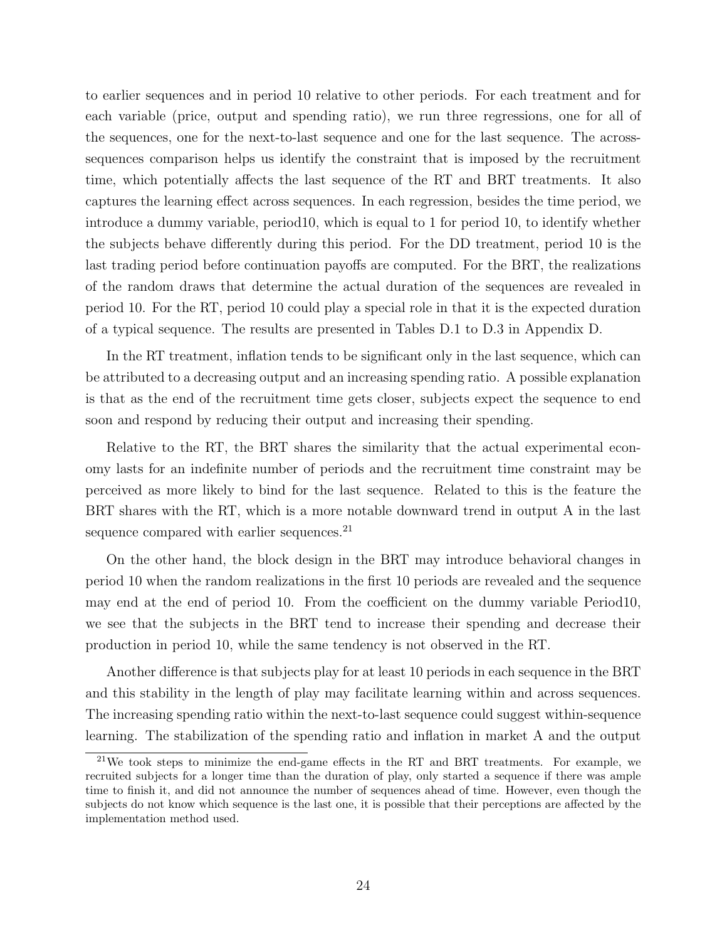to earlier sequences and in period 10 relative to other periods. For each treatment and for each variable (price, output and spending ratio), we run three regressions, one for all of the sequences, one for the next-to-last sequence and one for the last sequence. The acrosssequences comparison helps us identify the constraint that is imposed by the recruitment time, which potentially affects the last sequence of the RT and BRT treatments. It also captures the learning effect across sequences. In each regression, besides the time period, we introduce a dummy variable, period10, which is equal to 1 for period 10, to identify whether the subjects behave differently during this period. For the DD treatment, period 10 is the last trading period before continuation payoffs are computed. For the BRT, the realizations of the random draws that determine the actual duration of the sequences are revealed in period 10. For the RT, period 10 could play a special role in that it is the expected duration of a typical sequence. The results are presented in Tables D.1 to D.3 in Appendix D.

In the RT treatment, inflation tends to be significant only in the last sequence, which can be attributed to a decreasing output and an increasing spending ratio. A possible explanation is that as the end of the recruitment time gets closer, subjects expect the sequence to end soon and respond by reducing their output and increasing their spending.

Relative to the RT, the BRT shares the similarity that the actual experimental economy lasts for an indefinite number of periods and the recruitment time constraint may be perceived as more likely to bind for the last sequence. Related to this is the feature the BRT shares with the RT, which is a more notable downward trend in output A in the last sequence compared with earlier sequences. $^{21}$ 

On the other hand, the block design in the BRT may introduce behavioral changes in period 10 when the random realizations in the first 10 periods are revealed and the sequence may end at the end of period 10. From the coefficient on the dummy variable Period10, we see that the subjects in the BRT tend to increase their spending and decrease their production in period 10, while the same tendency is not observed in the RT.

Another difference is that subjects play for at least 10 periods in each sequence in the BRT and this stability in the length of play may facilitate learning within and across sequences. The increasing spending ratio within the next-to-last sequence could suggest within-sequence learning. The stabilization of the spending ratio and inflation in market A and the output

<sup>&</sup>lt;sup>21</sup>We took steps to minimize the end-game effects in the RT and BRT treatments. For example, we recruited subjects for a longer time than the duration of play, only started a sequence if there was ample time to finish it, and did not announce the number of sequences ahead of time. However, even though the subjects do not know which sequence is the last one, it is possible that their perceptions are affected by the implementation method used.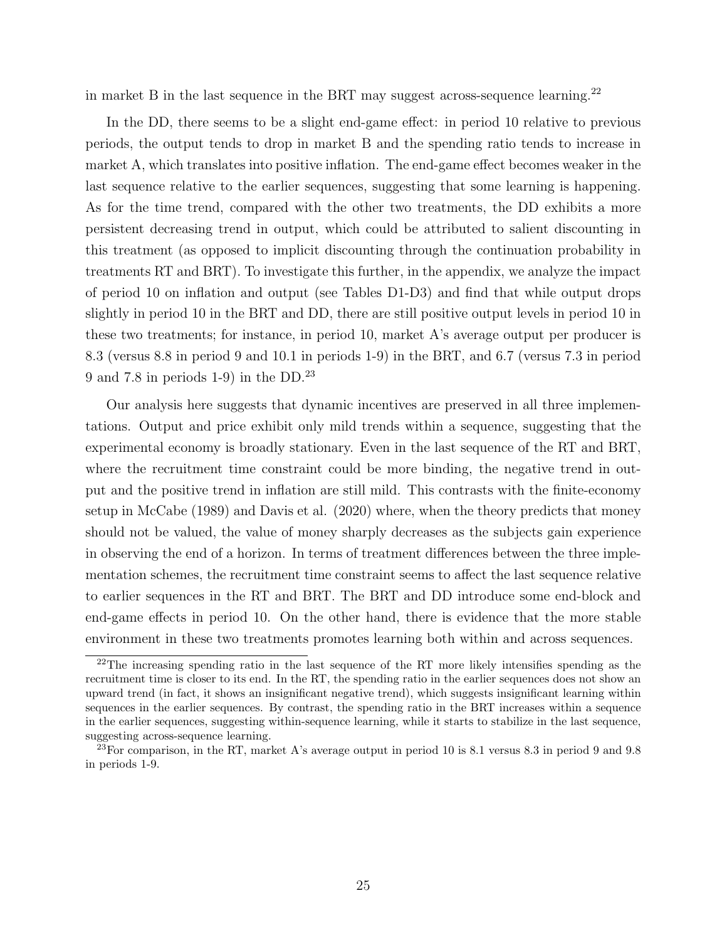in market B in the last sequence in the BRT may suggest across-sequence learning.<sup>22</sup>

In the DD, there seems to be a slight end-game effect: in period 10 relative to previous periods, the output tends to drop in market B and the spending ratio tends to increase in market A, which translates into positive inflation. The end-game effect becomes weaker in the last sequence relative to the earlier sequences, suggesting that some learning is happening. As for the time trend, compared with the other two treatments, the DD exhibits a more persistent decreasing trend in output, which could be attributed to salient discounting in this treatment (as opposed to implicit discounting through the continuation probability in treatments RT and BRT). To investigate this further, in the appendix, we analyze the impact of period 10 on inflation and output (see Tables D1-D3) and find that while output drops slightly in period 10 in the BRT and DD, there are still positive output levels in period 10 in these two treatments; for instance, in period 10, market A's average output per producer is 8.3 (versus 8.8 in period 9 and 10.1 in periods 1-9) in the BRT, and 6.7 (versus 7.3 in period 9 and 7.8 in periods 1-9) in the DD.<sup>23</sup>

Our analysis here suggests that dynamic incentives are preserved in all three implementations. Output and price exhibit only mild trends within a sequence, suggesting that the experimental economy is broadly stationary. Even in the last sequence of the RT and BRT, where the recruitment time constraint could be more binding, the negative trend in output and the positive trend in inflation are still mild. This contrasts with the finite-economy setup in McCabe (1989) and Davis et al. (2020) where, when the theory predicts that money should not be valued, the value of money sharply decreases as the subjects gain experience in observing the end of a horizon. In terms of treatment differences between the three implementation schemes, the recruitment time constraint seems to affect the last sequence relative to earlier sequences in the RT and BRT. The BRT and DD introduce some end-block and end-game effects in period 10. On the other hand, there is evidence that the more stable environment in these two treatments promotes learning both within and across sequences.

<sup>&</sup>lt;sup>22</sup>The increasing spending ratio in the last sequence of the RT more likely intensifies spending as the recruitment time is closer to its end. In the RT, the spending ratio in the earlier sequences does not show an upward trend (in fact, it shows an insignificant negative trend), which suggests insignificant learning within sequences in the earlier sequences. By contrast, the spending ratio in the BRT increases within a sequence in the earlier sequences, suggesting within-sequence learning, while it starts to stabilize in the last sequence, suggesting across-sequence learning.

<sup>&</sup>lt;sup>23</sup>For comparison, in the RT, market A's average output in period 10 is 8.1 versus 8.3 in period 9 and 9.8 in periods 1-9.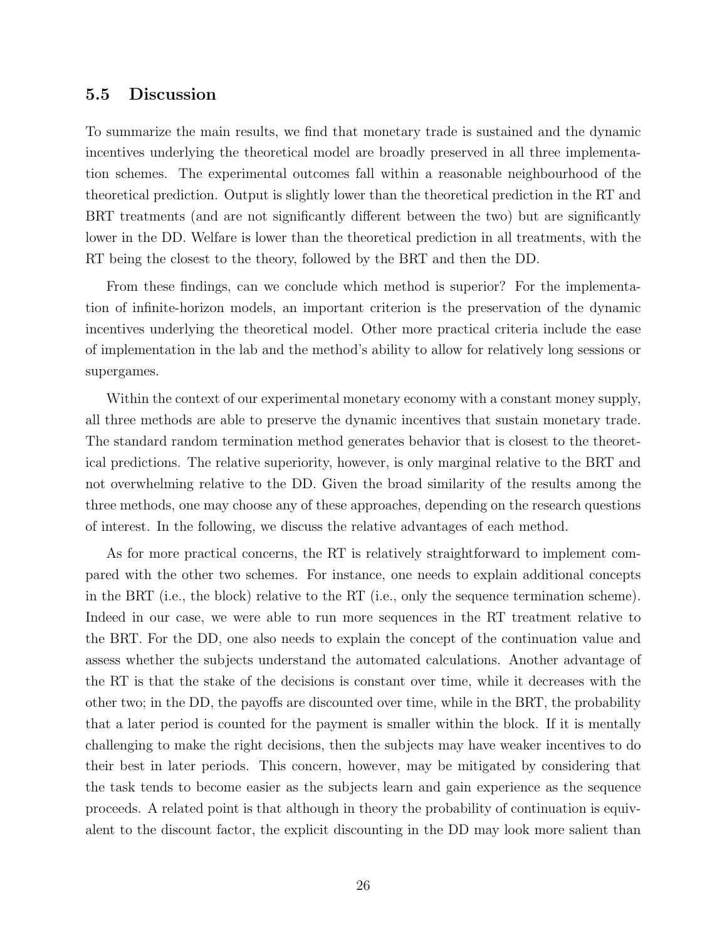#### 5.5 Discussion

To summarize the main results, we find that monetary trade is sustained and the dynamic incentives underlying the theoretical model are broadly preserved in all three implementation schemes. The experimental outcomes fall within a reasonable neighbourhood of the theoretical prediction. Output is slightly lower than the theoretical prediction in the RT and BRT treatments (and are not significantly different between the two) but are significantly lower in the DD. Welfare is lower than the theoretical prediction in all treatments, with the RT being the closest to the theory, followed by the BRT and then the DD.

From these findings, can we conclude which method is superior? For the implementation of infinite-horizon models, an important criterion is the preservation of the dynamic incentives underlying the theoretical model. Other more practical criteria include the ease of implementation in the lab and the method's ability to allow for relatively long sessions or supergames.

Within the context of our experimental monetary economy with a constant money supply, all three methods are able to preserve the dynamic incentives that sustain monetary trade. The standard random termination method generates behavior that is closest to the theoretical predictions. The relative superiority, however, is only marginal relative to the BRT and not overwhelming relative to the DD. Given the broad similarity of the results among the three methods, one may choose any of these approaches, depending on the research questions of interest. In the following, we discuss the relative advantages of each method.

As for more practical concerns, the RT is relatively straightforward to implement compared with the other two schemes. For instance, one needs to explain additional concepts in the BRT (i.e., the block) relative to the RT (i.e., only the sequence termination scheme). Indeed in our case, we were able to run more sequences in the RT treatment relative to the BRT. For the DD, one also needs to explain the concept of the continuation value and assess whether the subjects understand the automated calculations. Another advantage of the RT is that the stake of the decisions is constant over time, while it decreases with the other two; in the DD, the payoffs are discounted over time, while in the BRT, the probability that a later period is counted for the payment is smaller within the block. If it is mentally challenging to make the right decisions, then the subjects may have weaker incentives to do their best in later periods. This concern, however, may be mitigated by considering that the task tends to become easier as the subjects learn and gain experience as the sequence proceeds. A related point is that although in theory the probability of continuation is equivalent to the discount factor, the explicit discounting in the DD may look more salient than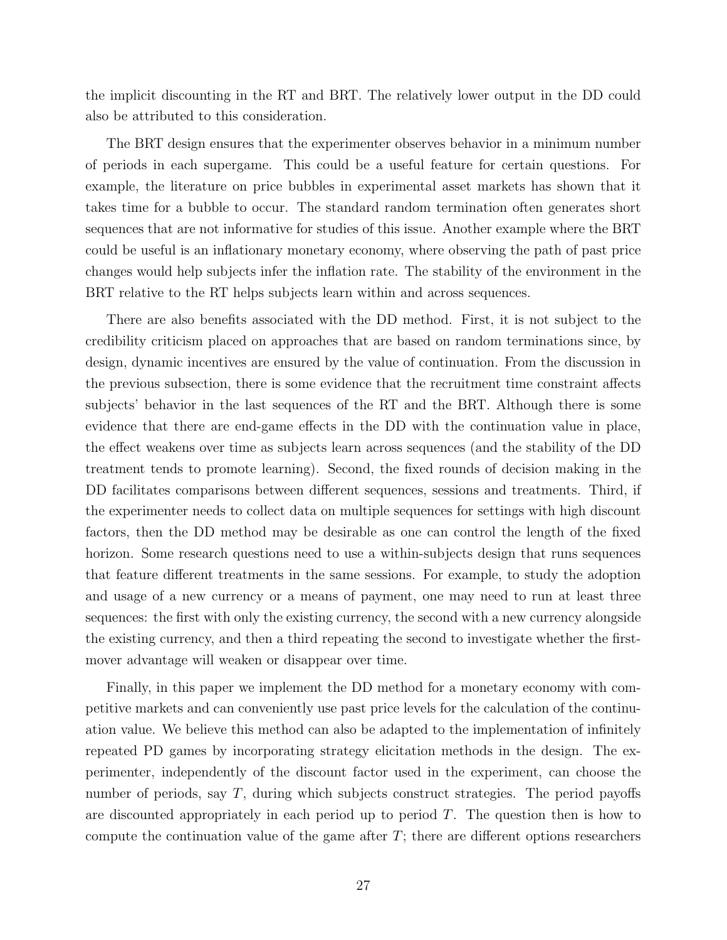the implicit discounting in the RT and BRT. The relatively lower output in the DD could also be attributed to this consideration.

The BRT design ensures that the experimenter observes behavior in a minimum number of periods in each supergame. This could be a useful feature for certain questions. For example, the literature on price bubbles in experimental asset markets has shown that it takes time for a bubble to occur. The standard random termination often generates short sequences that are not informative for studies of this issue. Another example where the BRT could be useful is an inflationary monetary economy, where observing the path of past price changes would help subjects infer the inflation rate. The stability of the environment in the BRT relative to the RT helps subjects learn within and across sequences.

There are also benefits associated with the DD method. First, it is not subject to the credibility criticism placed on approaches that are based on random terminations since, by design, dynamic incentives are ensured by the value of continuation. From the discussion in the previous subsection, there is some evidence that the recruitment time constraint affects subjects' behavior in the last sequences of the RT and the BRT. Although there is some evidence that there are end-game effects in the DD with the continuation value in place, the effect weakens over time as subjects learn across sequences (and the stability of the DD treatment tends to promote learning). Second, the fixed rounds of decision making in the DD facilitates comparisons between different sequences, sessions and treatments. Third, if the experimenter needs to collect data on multiple sequences for settings with high discount factors, then the DD method may be desirable as one can control the length of the fixed horizon. Some research questions need to use a within-subjects design that runs sequences that feature different treatments in the same sessions. For example, to study the adoption and usage of a new currency or a means of payment, one may need to run at least three sequences: the first with only the existing currency, the second with a new currency alongside the existing currency, and then a third repeating the second to investigate whether the firstmover advantage will weaken or disappear over time.

Finally, in this paper we implement the DD method for a monetary economy with competitive markets and can conveniently use past price levels for the calculation of the continuation value. We believe this method can also be adapted to the implementation of infinitely repeated PD games by incorporating strategy elicitation methods in the design. The experimenter, independently of the discount factor used in the experiment, can choose the number of periods, say  $T$ , during which subjects construct strategies. The period payoffs are discounted appropriately in each period up to period  $T$ . The question then is how to compute the continuation value of the game after  $T$ ; there are different options researchers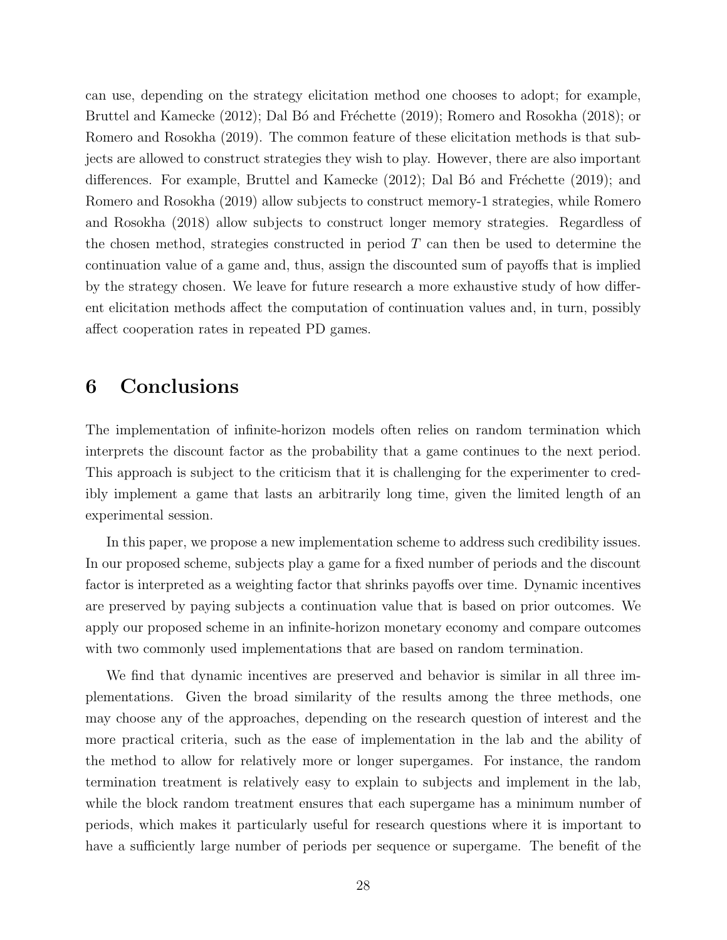can use, depending on the strategy elicitation method one chooses to adopt; for example, Bruttel and Kamecke (2012); Dal Bó and Fréchette (2019); Romero and Rosokha (2018); or Romero and Rosokha (2019). The common feature of these elicitation methods is that subjects are allowed to construct strategies they wish to play. However, there are also important differences. For example, Bruttel and Kamecke  $(2012)$ ; Dal B $\acute{o}$  and Fréchette  $(2019)$ ; and Romero and Rosokha (2019) allow subjects to construct memory-1 strategies, while Romero and Rosokha (2018) allow subjects to construct longer memory strategies. Regardless of the chosen method, strategies constructed in period  $T$  can then be used to determine the continuation value of a game and, thus, assign the discounted sum of payoffs that is implied by the strategy chosen. We leave for future research a more exhaustive study of how different elicitation methods affect the computation of continuation values and, in turn, possibly affect cooperation rates in repeated PD games.

### 6 Conclusions

The implementation of infinite-horizon models often relies on random termination which interprets the discount factor as the probability that a game continues to the next period. This approach is subject to the criticism that it is challenging for the experimenter to credibly implement a game that lasts an arbitrarily long time, given the limited length of an experimental session.

In this paper, we propose a new implementation scheme to address such credibility issues. In our proposed scheme, subjects play a game for a fixed number of periods and the discount factor is interpreted as a weighting factor that shrinks payoffs over time. Dynamic incentives are preserved by paying subjects a continuation value that is based on prior outcomes. We apply our proposed scheme in an infinite-horizon monetary economy and compare outcomes with two commonly used implementations that are based on random termination.

We find that dynamic incentives are preserved and behavior is similar in all three implementations. Given the broad similarity of the results among the three methods, one may choose any of the approaches, depending on the research question of interest and the more practical criteria, such as the ease of implementation in the lab and the ability of the method to allow for relatively more or longer supergames. For instance, the random termination treatment is relatively easy to explain to subjects and implement in the lab, while the block random treatment ensures that each supergame has a minimum number of periods, which makes it particularly useful for research questions where it is important to have a sufficiently large number of periods per sequence or supergame. The benefit of the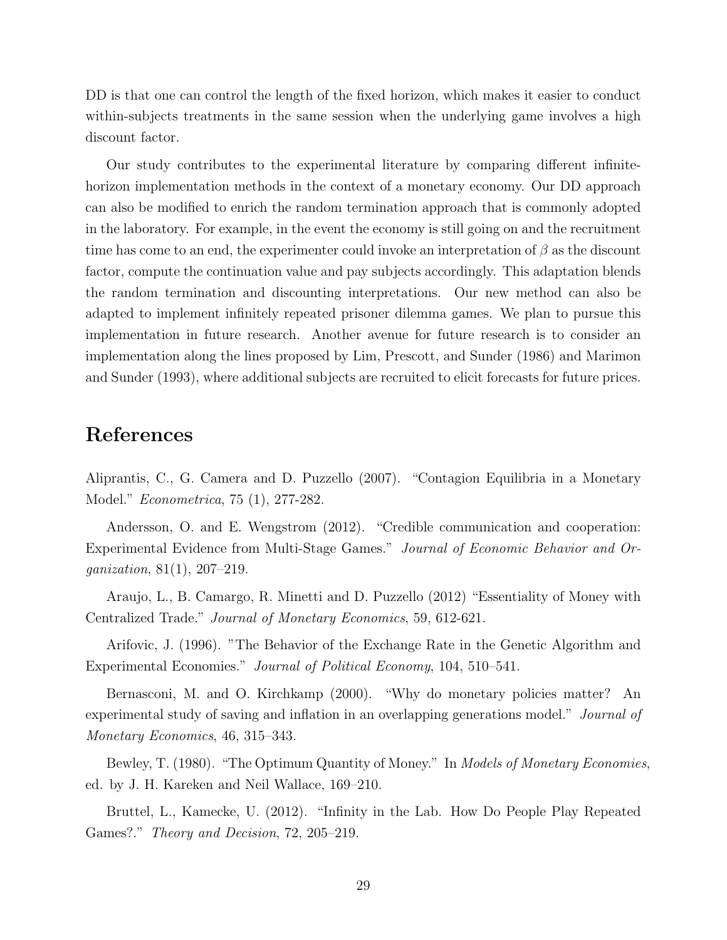DD is that one can control the length of the fixed horizon, which makes it easier to conduct within-subjects treatments in the same session when the underlying game involves a high discount factor.

Our study contributes to the experimental literature by comparing different infinitehorizon implementation methods in the context of a monetary economy. Our DD approach can also be modified to enrich the random termination approach that is commonly adopted in the laboratory. For example, in the event the economy is still going on and the recruitment time has come to an end, the experimenter could invoke an interpretation of  $\beta$  as the discount factor, compute the continuation value and pay subjects accordingly. This adaptation blends the random termination and discounting interpretations. Our new method can also be adapted to implement infinitely repeated prisoner dilemma games. We plan to pursue this implementation in future research. Another avenue for future research is to consider an implementation along the lines proposed by Lim, Prescott, and Sunder (1986) and Marimon and Sunder (1993), where additional subjects are recruited to elicit forecasts for future prices.

### References

Aliprantis, C., G. Camera and D. Puzzello (2007). "Contagion Equilibria in a Monetary Model." Econometrica, 75 (1), 277-282.

Andersson, O. and E. Wengstrom (2012). "Credible communication and cooperation: Experimental Evidence from Multi-Stage Games." Journal of Economic Behavior and Organization, 81(1), 207–219.

Araujo, L., B. Camargo, R. Minetti and D. Puzzello (2012) "Essentiality of Money with Centralized Trade." Journal of Monetary Economics, 59, 612-621.

Arifovic, J. (1996). "The Behavior of the Exchange Rate in the Genetic Algorithm and Experimental Economies." Journal of Political Economy, 104, 510–541.

Bernasconi, M. and O. Kirchkamp (2000). "Why do monetary policies matter? An experimental study of saving and inflation in an overlapping generations model." Journal of Monetary Economics, 46, 315–343.

Bewley, T. (1980). "The Optimum Quantity of Money." In *Models of Monetary Economies*, ed. by J. H. Kareken and Neil Wallace, 169–210.

Bruttel, L., Kamecke, U. (2012). "Infinity in the Lab. How Do People Play Repeated Games?." *Theory and Decision*, 72, 205–219.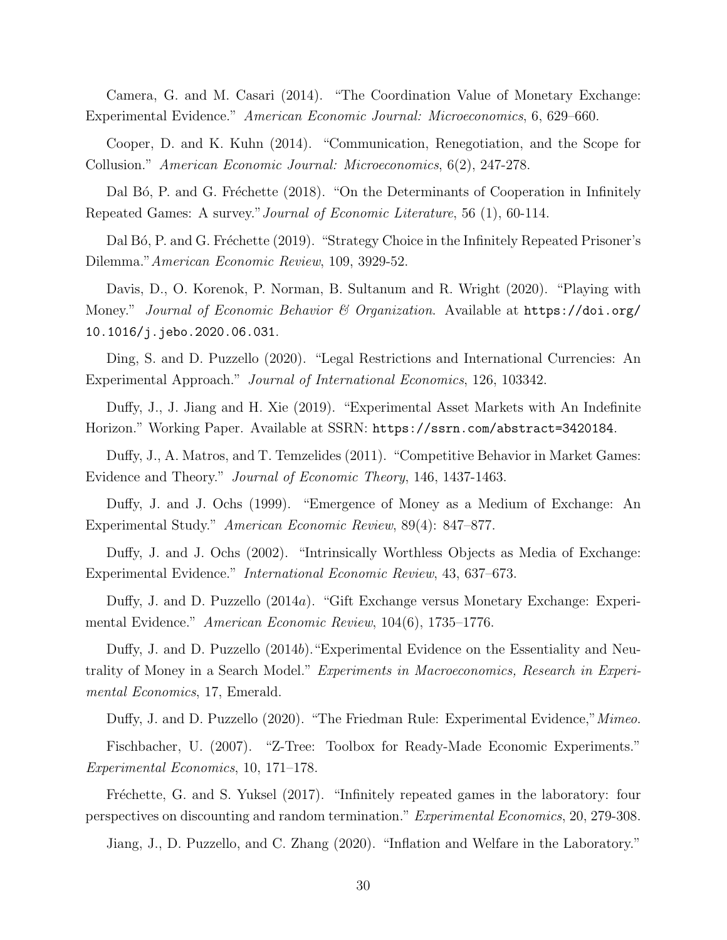Camera, G. and M. Casari (2014). "The Coordination Value of Monetary Exchange: Experimental Evidence." American Economic Journal: Microeconomics, 6, 629–660.

Cooper, D. and K. Kuhn (2014). "Communication, Renegotiation, and the Scope for Collusion." American Economic Journal: Microeconomics, 6(2), 247-278.

Dal Bó, P. and G. Fréchette (2018). "On the Determinants of Cooperation in Infinitely Repeated Games: A survey."Journal of Economic Literature, 56 (1), 60-114.

Dal Bó, P. and G. Fréchette (2019). "Strategy Choice in the Infinitely Repeated Prisoner's Dilemma."American Economic Review, 109, 3929-52.

Davis, D., O. Korenok, P. Norman, B. Sultanum and R. Wright (2020). "Playing with Money." Journal of Economic Behavior & Organization. Available at  $https://doi.org/$ 10.1016/j.jebo.2020.06.031.

Ding, S. and D. Puzzello (2020). "Legal Restrictions and International Currencies: An Experimental Approach." Journal of International Economics, 126, 103342.

Duffy, J., J. Jiang and H. Xie (2019). "Experimental Asset Markets with An Indefinite Horizon." Working Paper. Available at SSRN: https://ssrn.com/abstract=3420184.

Duffy, J., A. Matros, and T. Temzelides (2011). "Competitive Behavior in Market Games: Evidence and Theory." Journal of Economic Theory, 146, 1437-1463.

Duffy, J. and J. Ochs (1999). "Emergence of Money as a Medium of Exchange: An Experimental Study." American Economic Review, 89(4): 847–877.

Duffy, J. and J. Ochs (2002). "Intrinsically Worthless Objects as Media of Exchange: Experimental Evidence." International Economic Review, 43, 637–673.

Duffy, J. and D. Puzzello (2014a). "Gift Exchange versus Monetary Exchange: Experimental Evidence." American Economic Review, 104(6), 1735–1776.

Duffy, J. and D. Puzzello (2014b)."Experimental Evidence on the Essentiality and Neutrality of Money in a Search Model." Experiments in Macroeconomics, Research in Experimental Economics, 17, Emerald.

Duffy, J. and D. Puzzello (2020). "The Friedman Rule: Experimental Evidence," Mimeo.

Fischbacher, U. (2007). "Z-Tree: Toolbox for Ready-Made Economic Experiments." Experimental Economics, 10, 171–178.

Fréchette, G. and S. Yuksel (2017). "Infinitely repeated games in the laboratory: four perspectives on discounting and random termination." Experimental Economics, 20, 279-308.

Jiang, J., D. Puzzello, and C. Zhang (2020). "Inflation and Welfare in the Laboratory."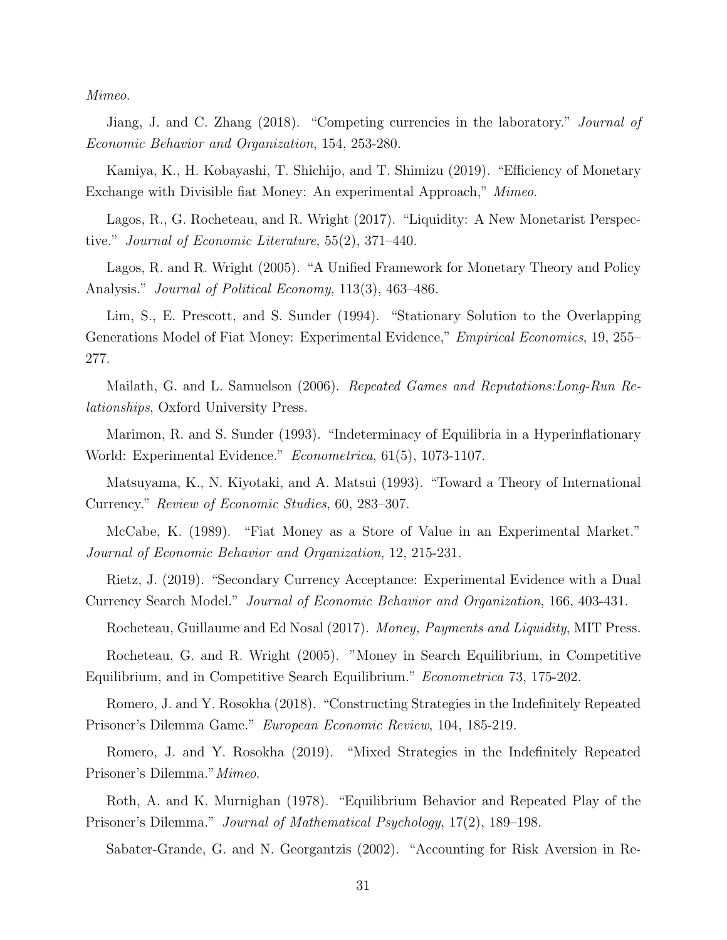Mimeo.

Jiang, J. and C. Zhang (2018). "Competing currencies in the laboratory." *Journal of* Economic Behavior and Organization, 154, 253-280.

Kamiya, K., H. Kobayashi, T. Shichijo, and T. Shimizu (2019). "Efficiency of Monetary Exchange with Divisible fiat Money: An experimental Approach," Mimeo.

Lagos, R., G. Rocheteau, and R. Wright (2017). "Liquidity: A New Monetarist Perspective." Journal of Economic Literature, 55(2), 371–440.

Lagos, R. and R. Wright (2005). "A Unified Framework for Monetary Theory and Policy Analysis." *Journal of Political Economy*, 113(3), 463–486.

Lim, S., E. Prescott, and S. Sunder (1994). "Stationary Solution to the Overlapping Generations Model of Fiat Money: Experimental Evidence," Empirical Economics, 19, 255– 277.

Mailath, G. and L. Samuelson (2006). Repeated Games and Reputations: Long-Run Relationships, Oxford University Press.

Marimon, R. and S. Sunder (1993). "Indeterminacy of Equilibria in a Hyperinflationary World: Experimental Evidence." Econometrica, 61(5), 1073-1107.

Matsuyama, K., N. Kiyotaki, and A. Matsui (1993). "Toward a Theory of International Currency." Review of Economic Studies, 60, 283–307.

McCabe, K. (1989). "Fiat Money as a Store of Value in an Experimental Market." Journal of Economic Behavior and Organization, 12, 215-231.

Rietz, J. (2019). "Secondary Currency Acceptance: Experimental Evidence with a Dual Currency Search Model." Journal of Economic Behavior and Organization, 166, 403-431.

Rocheteau, Guillaume and Ed Nosal (2017). Money, Payments and Liquidity, MIT Press.

Rocheteau, G. and R. Wright (2005). "Money in Search Equilibrium, in Competitive Equilibrium, and in Competitive Search Equilibrium." Econometrica 73, 175-202.

Romero, J. and Y. Rosokha (2018). "Constructing Strategies in the Indefinitely Repeated Prisoner's Dilemma Game." European Economic Review, 104, 185-219.

Romero, J. and Y. Rosokha (2019). "Mixed Strategies in the Indefinitely Repeated Prisoner's Dilemma."Mimeo.

Roth, A. and K. Murnighan (1978). "Equilibrium Behavior and Repeated Play of the Prisoner's Dilemma." Journal of Mathematical Psychology, 17(2), 189–198.

Sabater-Grande, G. and N. Georgantzis (2002). "Accounting for Risk Aversion in Re-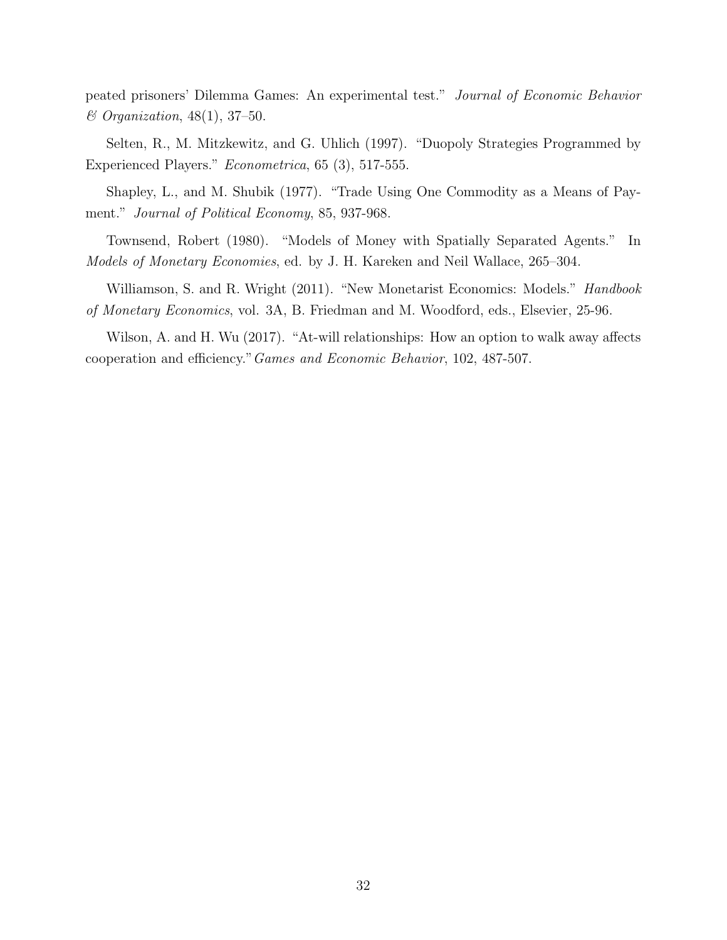peated prisoners' Dilemma Games: An experimental test." Journal of Economic Behavior & Organization, 48(1), 37–50.

Selten, R., M. Mitzkewitz, and G. Uhlich (1997). "Duopoly Strategies Programmed by Experienced Players." Econometrica, 65 (3), 517-555.

Shapley, L., and M. Shubik (1977). "Trade Using One Commodity as a Means of Payment." Journal of Political Economy, 85, 937-968.

Townsend, Robert (1980). "Models of Money with Spatially Separated Agents." In Models of Monetary Economies, ed. by J. H. Kareken and Neil Wallace, 265–304.

Williamson, S. and R. Wright (2011). "New Monetarist Economics: Models." *Handbook* of Monetary Economics, vol. 3A, B. Friedman and M. Woodford, eds., Elsevier, 25-96.

Wilson, A. and H. Wu (2017). "At-will relationships: How an option to walk away affects cooperation and efficiency."Games and Economic Behavior, 102, 487-507.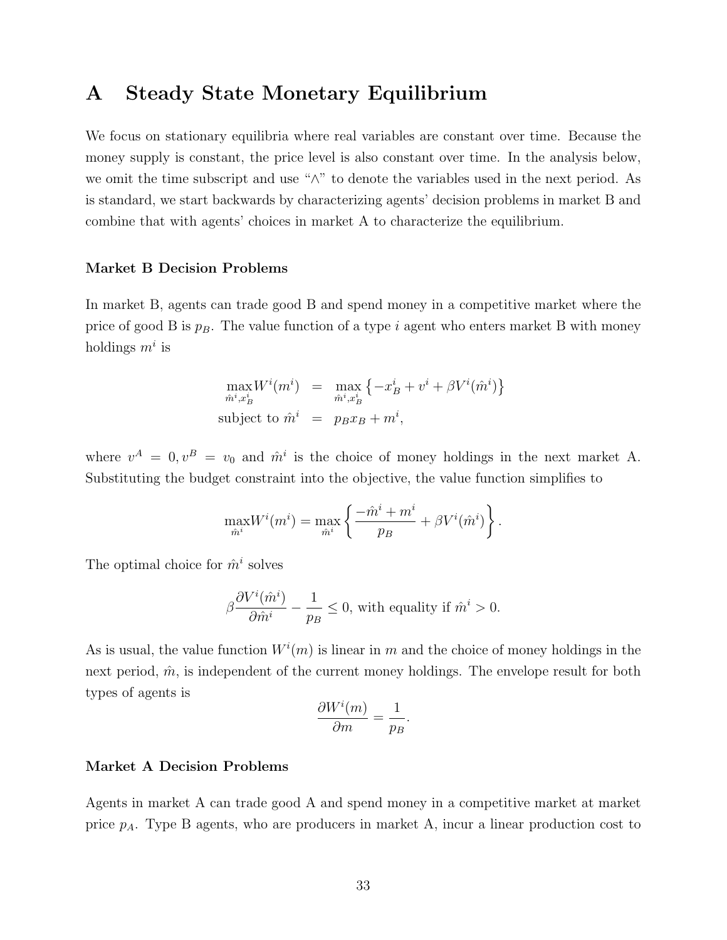### A Steady State Monetary Equilibrium

We focus on stationary equilibria where real variables are constant over time. Because the money supply is constant, the price level is also constant over time. In the analysis below, we omit the time subscript and use "∧" to denote the variables used in the next period. As is standard, we start backwards by characterizing agents' decision problems in market B and combine that with agents' choices in market A to characterize the equilibrium.

#### Market B Decision Problems

In market B, agents can trade good B and spend money in a competitive market where the price of good B is  $p_B$ . The value function of a type i agent who enters market B with money holdings  $m^i$  is

$$
\max_{\hat{m}^i, x_B^i} W^i(m^i) = \max_{\hat{m}^i, x_B^i} \{-x_B^i + v^i + \beta V^i(\hat{m}^i)\}
$$
  
subject to  $\hat{m}^i = p_B x_B + m^i$ ,

where  $v^A = 0, v^B = v_0$  and  $\hat{m}^i$  is the choice of money holdings in the next market A. Substituting the budget constraint into the objective, the value function simplifies to

$$
\max_{\hat{m}^i} W^i(m^i) = \max_{\hat{m}^i} \left\{ \frac{-\hat{m}^i + m^i}{p_B} + \beta V^i(\hat{m}^i) \right\}.
$$

The optimal choice for  $\hat{m}^i$  solves

$$
\beta \frac{\partial V^i(\hat{m}^i)}{\partial \hat{m}^i} - \frac{1}{p_B} \le 0
$$
, with equality if  $\hat{m}^i > 0$ .

As is usual, the value function  $W^i(m)$  is linear in m and the choice of money holdings in the next period,  $\hat{m}$ , is independent of the current money holdings. The envelope result for both types of agents is

$$
\frac{\partial W^i(m)}{\partial m} = \frac{1}{p_B}.
$$

#### Market A Decision Problems

Agents in market A can trade good A and spend money in a competitive market at market price  $p_A$ . Type B agents, who are producers in market A, incur a linear production cost to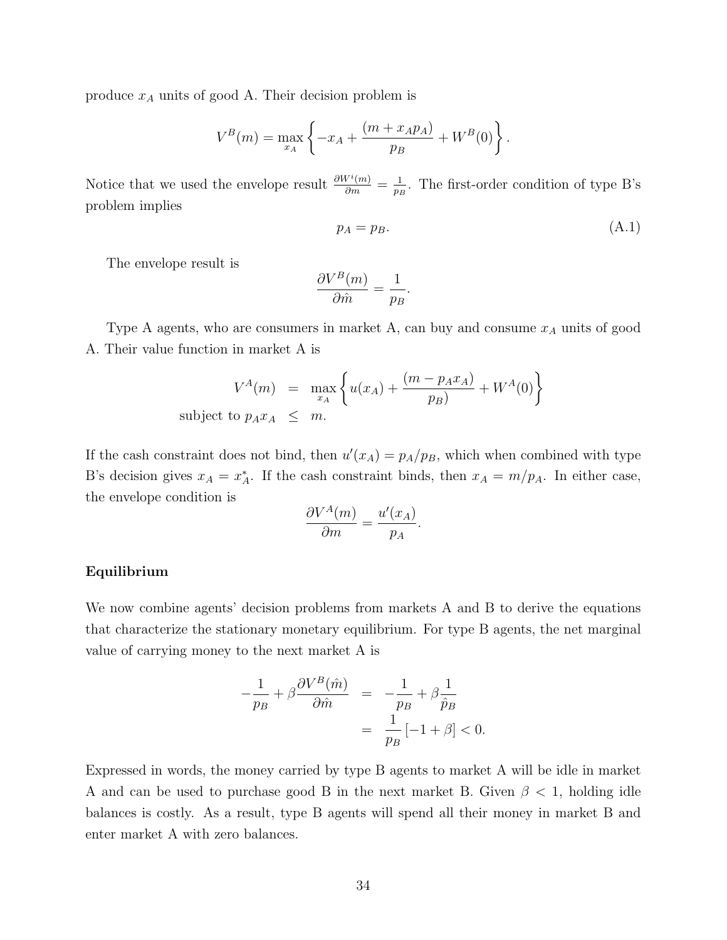produce  $x_A$  units of good A. Their decision problem is

$$
V^{B}(m) = \max_{x_A} \left\{ -x_A + \frac{(m + x_A p_A)}{p_B} + W^B(0) \right\}.
$$

Notice that we used the envelope result  $\frac{\partial W^i(m)}{\partial m} = \frac{1}{p_I}$  $\frac{1}{p_B}$ . The first-order condition of type B's problem implies

$$
p_A = p_B. \tag{A.1}
$$

The envelope result is

$$
\frac{\partial V^B(m)}{\partial \hat{m}} = \frac{1}{p_B}.
$$

Type A agents, who are consumers in market A, can buy and consume  $x_A$  units of good A. Their value function in market A is

$$
V^{A}(m) = \max_{x_A} \left\{ u(x_A) + \frac{(m - p_A x_A)}{p_B} + W^{A}(0) \right\}
$$
subject to  $p_A x_A \leq m$ .

If the cash constraint does not bind, then  $u'(x_A) = p_A/p_B$ , which when combined with type B's decision gives  $x_A = x_A^*$ . If the cash constraint binds, then  $x_A = m/p_A$ . In either case, the envelope condition is

$$
\frac{\partial V^A(m)}{\partial m} = \frac{u'(x_A)}{p_A}.
$$

#### Equilibrium

We now combine agents' decision problems from markets A and B to derive the equations that characterize the stationary monetary equilibrium. For type B agents, the net marginal value of carrying money to the next market A is

$$
-\frac{1}{p_B} + \beta \frac{\partial V^B(\hat{m})}{\partial \hat{m}} = -\frac{1}{p_B} + \beta \frac{1}{\hat{p}_B}
$$

$$
= \frac{1}{p_B} [-1 + \beta] < 0.
$$

Expressed in words, the money carried by type B agents to market A will be idle in market A and can be used to purchase good B in the next market B. Given  $\beta$  < 1, holding idle balances is costly. As a result, type B agents will spend all their money in market B and enter market A with zero balances.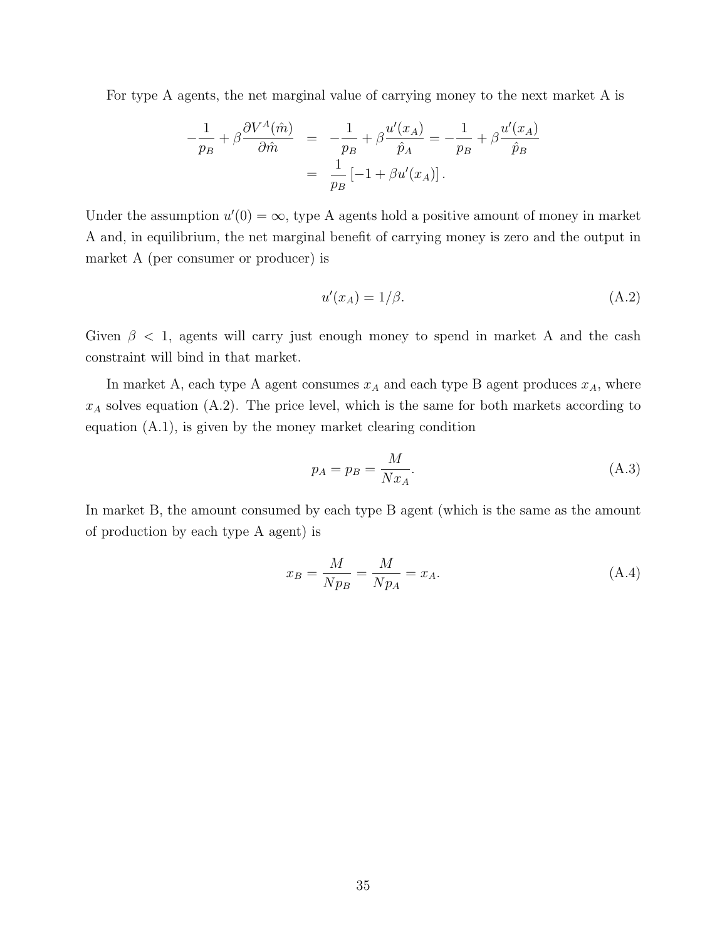For type A agents, the net marginal value of carrying money to the next market A is

$$
-\frac{1}{p_B} + \beta \frac{\partial V^A(\hat{m})}{\partial \hat{m}} = -\frac{1}{p_B} + \beta \frac{u'(x_A)}{\hat{p}_A} = -\frac{1}{p_B} + \beta \frac{u'(x_A)}{\hat{p}_B}
$$

$$
= \frac{1}{p_B} [-1 + \beta u'(x_A)].
$$

Under the assumption  $u'(0) = \infty$ , type A agents hold a positive amount of money in market A and, in equilibrium, the net marginal benefit of carrying money is zero and the output in market A (per consumer or producer) is

$$
u'(x_A) = 1/\beta. \tag{A.2}
$$

Given  $\beta$  < 1, agents will carry just enough money to spend in market A and the cash constraint will bind in that market.

In market A, each type A agent consumes  $x_A$  and each type B agent produces  $x_A$ , where  $x_A$  solves equation (A.2). The price level, which is the same for both markets according to equation (A.1), is given by the money market clearing condition

$$
p_A = p_B = \frac{M}{Nx_A}.\tag{A.3}
$$

In market B, the amount consumed by each type B agent (which is the same as the amount of production by each type A agent) is

$$
x_B = \frac{M}{Np_B} = \frac{M}{Np_A} = x_A.
$$
\n(A.4)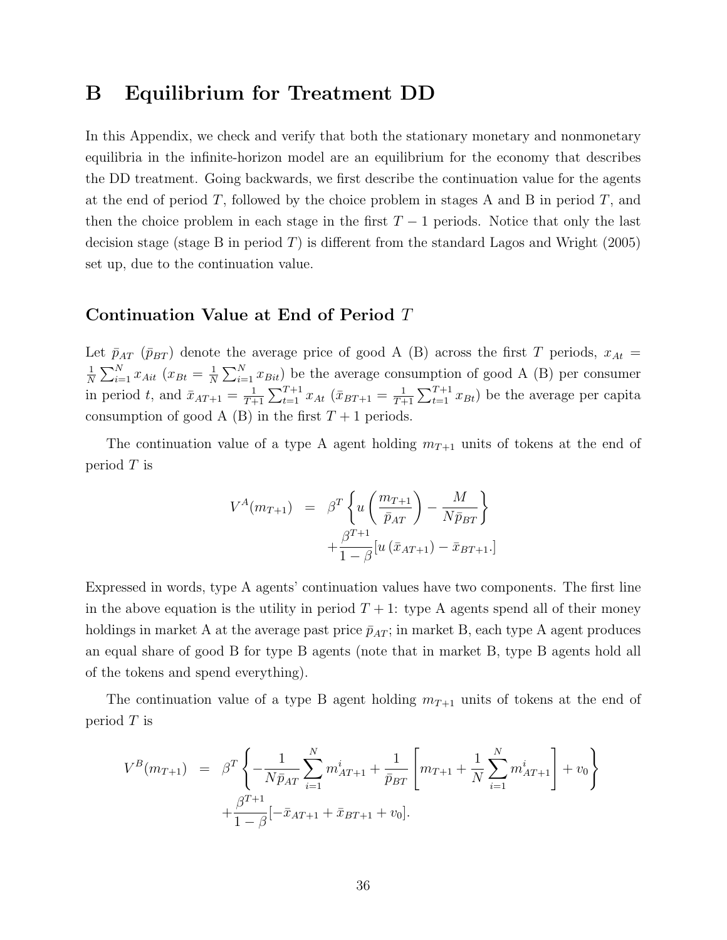### B Equilibrium for Treatment DD

In this Appendix, we check and verify that both the stationary monetary and nonmonetary equilibria in the infinite-horizon model are an equilibrium for the economy that describes the DD treatment. Going backwards, we first describe the continuation value for the agents at the end of period T, followed by the choice problem in stages A and B in period  $T$ , and then the choice problem in each stage in the first  $T-1$  periods. Notice that only the last decision stage (stage B in period  $T$ ) is different from the standard Lagos and Wright (2005) set up, due to the continuation value.

#### Continuation Value at End of Period T

Let  $\bar{p}_{AT}$  ( $\bar{p}_{BT}$ ) denote the average price of good A (B) across the first T periods,  $x_{At}$  = 1  $\frac{1}{N} \sum_{i=1}^{N} x_{Ai t} (x_{B t} = \frac{1}{N})$  $\frac{1}{N} \sum_{i=1}^{N} x_{Bit}$  be the average consumption of good A (B) per consumer in period t, and  $\bar{x}_{AT+1} = \frac{1}{T+1}$  $\frac{1}{T+1}\sum_{t=1}^{T+1}x_{At}$   $(\bar{x}_{BT+1} = \frac{1}{T+1})$  $\frac{1}{T+1}\sum_{t=1}^{T+1}x_{Bt}$  be the average per capita consumption of good A (B) in the first  $T+1$  periods.

The continuation value of a type A agent holding  $m_{T+1}$  units of tokens at the end of period  $T$  is

$$
V^{A}(m_{T+1}) = \beta^{T} \left\{ u \left( \frac{m_{T+1}}{\bar{p}_{AT}} \right) - \frac{M}{N \bar{p}_{BT}} \right\} + \frac{\beta^{T+1}}{1 - \beta} [u (\bar{x}_{AT+1}) - \bar{x}_{BT+1}].
$$

Expressed in words, type A agents' continuation values have two components. The first line in the above equation is the utility in period  $T + 1$ : type A agents spend all of their money holdings in market A at the average past price  $\bar{p}_{AT}$ ; in market B, each type A agent produces an equal share of good B for type B agents (note that in market B, type B agents hold all of the tokens and spend everything).

The continuation value of a type B agent holding  $m_{T+1}$  units of tokens at the end of period  $T$  is

$$
V^{B}(m_{T+1}) = \beta^{T} \left\{ -\frac{1}{N \bar{p}_{AT}} \sum_{i=1}^{N} m_{AT+1}^{i} + \frac{1}{\bar{p}_{BT}} \left[ m_{T+1} + \frac{1}{N} \sum_{i=1}^{N} m_{AT+1}^{i} \right] + v_{0} \right\} + \frac{\beta^{T+1}}{1 - \beta} [-\bar{x}_{AT+1} + \bar{x}_{BT+1} + v_{0}].
$$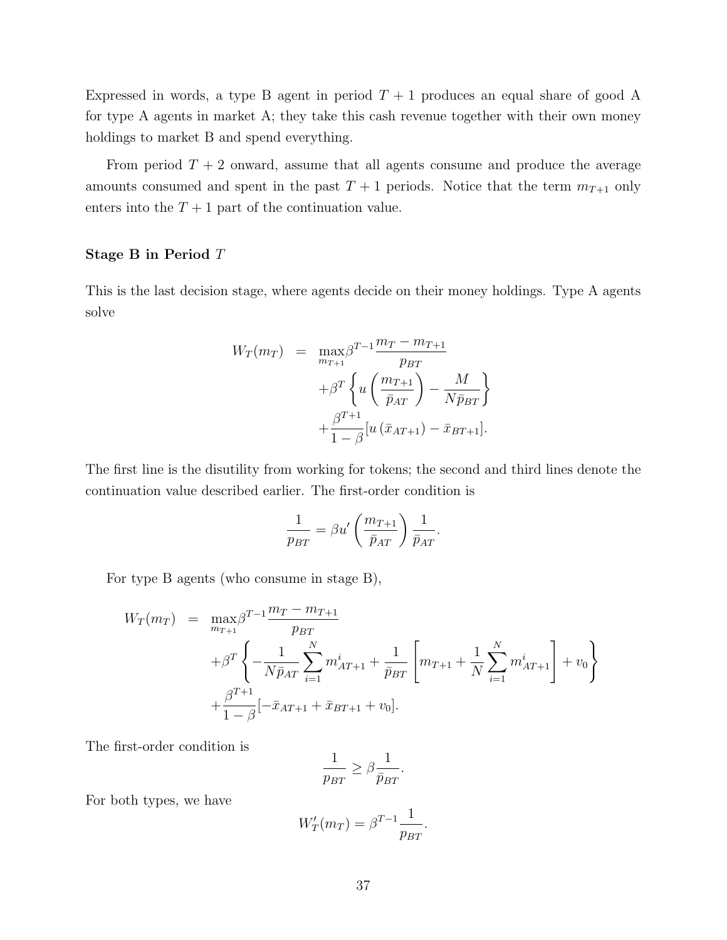Expressed in words, a type B agent in period  $T + 1$  produces an equal share of good A for type A agents in market A; they take this cash revenue together with their own money holdings to market B and spend everything.

From period  $T + 2$  onward, assume that all agents consume and produce the average amounts consumed and spent in the past  $T + 1$  periods. Notice that the term  $m_{T+1}$  only enters into the  $T + 1$  part of the continuation value.

#### Stage B in Period T

This is the last decision stage, where agents decide on their money holdings. Type A agents solve

$$
W_T(m_T) = \max_{m_{T+1}} \beta^{T-1} \frac{m_T - m_{T+1}}{p_{BT}}
$$

$$
+ \beta^T \left\{ u \left( \frac{m_{T+1}}{\bar{p}_{AT}} \right) - \frac{M}{N \bar{p}_{BT}} \right\}
$$

$$
+ \frac{\beta^{T+1}}{1 - \beta} [u (\bar{x}_{AT+1}) - \bar{x}_{BT+1}].
$$

The first line is the disutility from working for tokens; the second and third lines denote the continuation value described earlier. The first-order condition is

$$
\frac{1}{p_{BT}} = \beta u' \left(\frac{m_{T+1}}{\bar{p}_{AT}}\right) \frac{1}{\bar{p}_{AT}}.
$$

For type B agents (who consume in stage B),

$$
W_T(m_T) = \max_{m_{T+1}} \beta^{T-1} \frac{m_T - m_{T+1}}{p_{BT}} + \beta^T \left\{ -\frac{1}{N\bar{p}_{AT}} \sum_{i=1}^N m_{AT+1}^i + \frac{1}{\bar{p}_{BT}} \left[ m_{T+1} + \frac{1}{N} \sum_{i=1}^N m_{AT+1}^i \right] + v_0 \right\} + \frac{\beta^{T+1}}{1-\beta} [-\bar{x}_{AT+1} + \bar{x}_{BT+1} + v_0].
$$

The first-order condition is

$$
\frac{1}{p_{BT}} \geq \beta \frac{1}{\bar{p}_{BT}}.
$$

For both types, we have

$$
W'_T(m_T) = \beta^{T-1} \frac{1}{p_{BT}}.
$$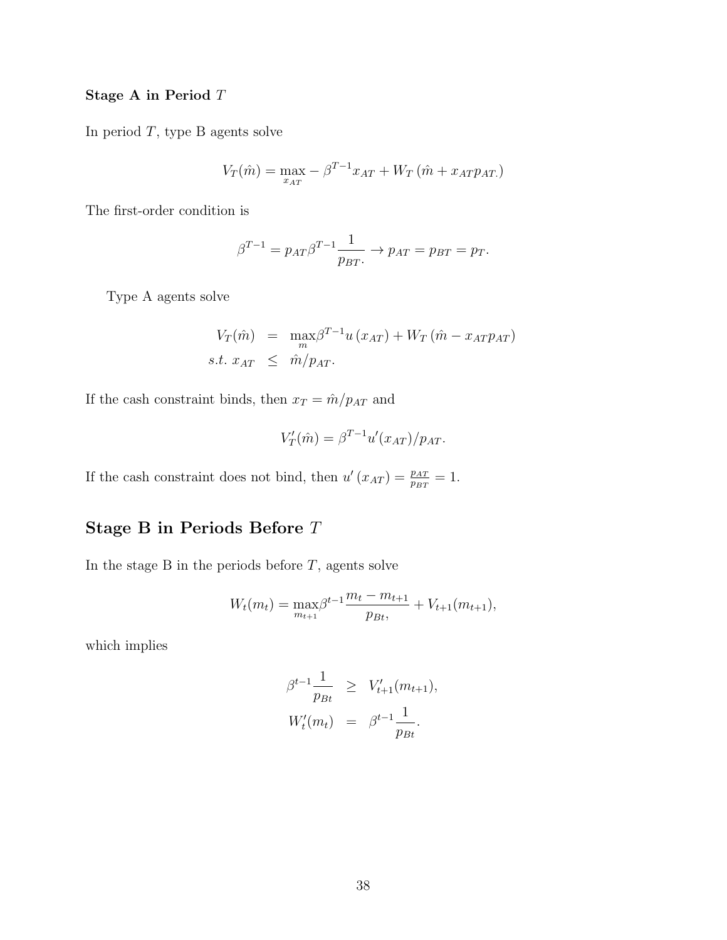#### Stage A in Period T

In period  $T$ , type B agents solve

$$
V_T(\hat{m}) = \max_{x_{AT}} -\beta^{T-1} x_{AT} + W_T(\hat{m} + x_{AT} p_{AT})
$$

The first-order condition is

$$
\beta^{T-1} = p_{AT}\beta^{T-1}\frac{1}{p_{BT}} \rightarrow p_{AT} = p_{BT} = p_T.
$$

Type A agents solve

$$
V_T(\hat{m}) = \max_{m} \beta^{T-1} u(x_{AT}) + W_T(\hat{m} - x_{AT}p_{AT})
$$
  
s.t.  $x_{AT} \leq \hat{m}/p_{AT}$ .

If the cash constraint binds, then  $x_T = \hat{m}/p_{AT}$  and

$$
V'_T(\hat{m}) = \beta^{T-1} u'(x_{AT})/p_{AT}.
$$

If the cash constraint does not bind, then  $u'(x_{AT}) = \frac{p_{AT}}{p_{BT}} = 1$ .

### Stage B in Periods Before T

In the stage B in the periods before  $T$ , agents solve

$$
W_t(m_t) = \max_{m_{t+1}} \beta^{t-1} \frac{m_t - m_{t+1}}{p_{Bt}}, \quad t_{t+1}(m_{t+1}),
$$

which implies

$$
\beta^{t-1} \frac{1}{p_{Bt}} \ge V'_{t+1}(m_{t+1}),
$$
  

$$
W'_{t}(m_{t}) = \beta^{t-1} \frac{1}{p_{Bt}}.
$$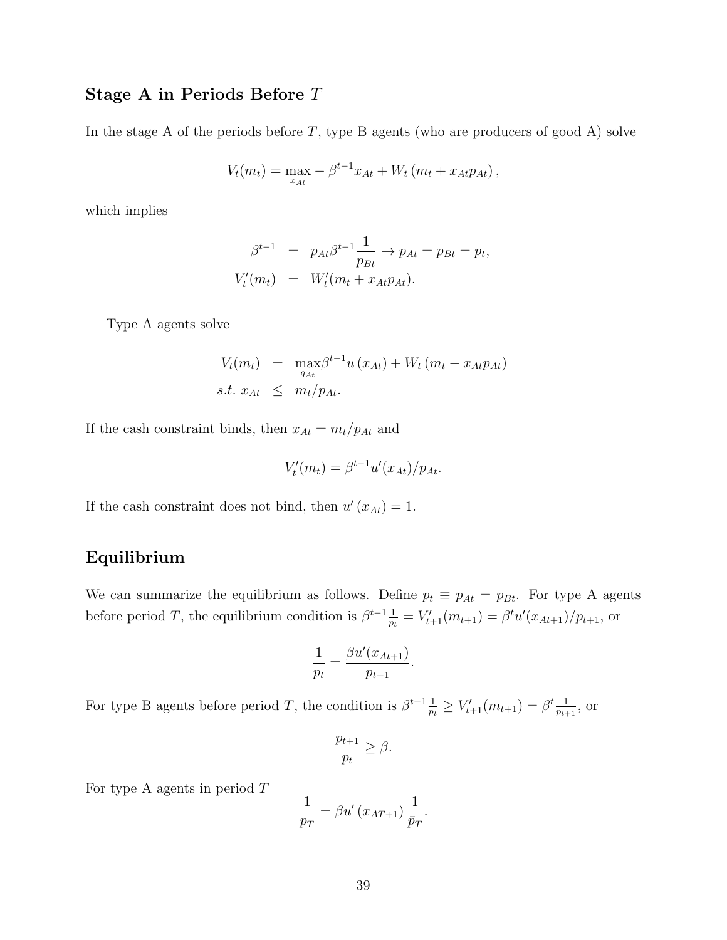### Stage A in Periods Before T

In the stage A of the periods before  $T$ , type B agents (who are producers of good A) solve

$$
V_t(m_t) = \max_{x_{At}} -\beta^{t-1} x_{At} + W_t (m_t + x_{At} p_{At}),
$$

which implies

$$
\beta^{t-1} = p_{At}\beta^{t-1}\frac{1}{p_{Bt}} \rightarrow p_{At} = p_{Bt} = p_t,
$$
  

$$
V'_t(m_t) = W'_t(m_t + x_{At}p_{At}).
$$

Type A agents solve

$$
V_t(m_t) = \max_{q_{At}} \beta^{t-1} u(x_{At}) + W_t (m_t - x_{At} p_{At})
$$
  
s.t.  $x_{At} \leq m_t / p_{At}$ .

If the cash constraint binds, then  $x_{At} = m_t/p_{At}$  and

$$
V_t'(m_t) = \beta^{t-1} u'(x_{At})/p_{At}.
$$

If the cash constraint does not bind, then  $u'(x_{At}) = 1$ .

### Equilibrium

We can summarize the equilibrium as follows. Define  $p_t \equiv p_{At} = p_{Bt}$ . For type A agents before period T, the equilibrium condition is  $\beta^{t-1}$  $\frac{1}{p_t} = V'_{t+1}(m_{t+1}) = \beta^t u'(x_{At+1})/p_{t+1},$  or

$$
\frac{1}{p_t} = \frac{\beta u'(x_{At+1})}{p_{t+1}}.
$$

For type B agents before period T, the condition is  $\beta^{t-1}$  $\frac{1}{p_t} \geq V'_{t+1}(m_{t+1}) = \beta^t \frac{1}{p_{t+1}}$  $\frac{1}{p_{t+1}},$  or

$$
\frac{p_{t+1}}{p_t} \ge \beta.
$$

For type A agents in period  $T$ 

$$
\frac{1}{p_T} = \beta u' (x_{AT+1}) \frac{1}{\bar{p}_T}.
$$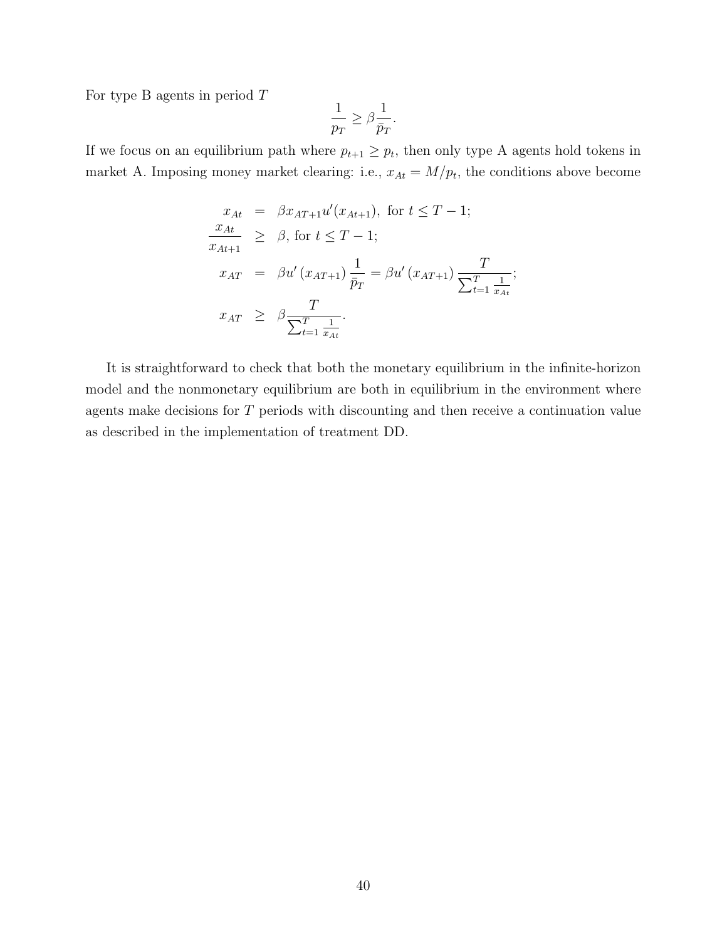For type B agents in period  $T$ 

$$
\frac{1}{p_T} \ge \beta \frac{1}{\bar{p}_T}.
$$

If we focus on an equilibrium path where  $p_{t+1} \geq p_t$ , then only type A agents hold tokens in market A. Imposing money market clearing: i.e.,  $x_{At} = M/p_t$ , the conditions above become

$$
x_{At} = \beta x_{AT+1} u'(x_{At+1}), \text{ for } t \leq T - 1; \n\frac{x_{At}}{x_{At+1}} \geq \beta, \text{ for } t \leq T - 1; \nx_{AT} = \beta u'(x_{AT+1}) \frac{1}{\bar{p}_T} = \beta u'(x_{AT+1}) \frac{T}{\sum_{t=1}^T \frac{1}{x_{At}}}; \nx_{AT} \geq \beta \frac{T}{\sum_{t=1}^T \frac{1}{x_{At}}}.
$$

It is straightforward to check that both the monetary equilibrium in the infinite-horizon model and the nonmonetary equilibrium are both in equilibrium in the environment where agents make decisions for T periods with discounting and then receive a continuation value as described in the implementation of treatment DD.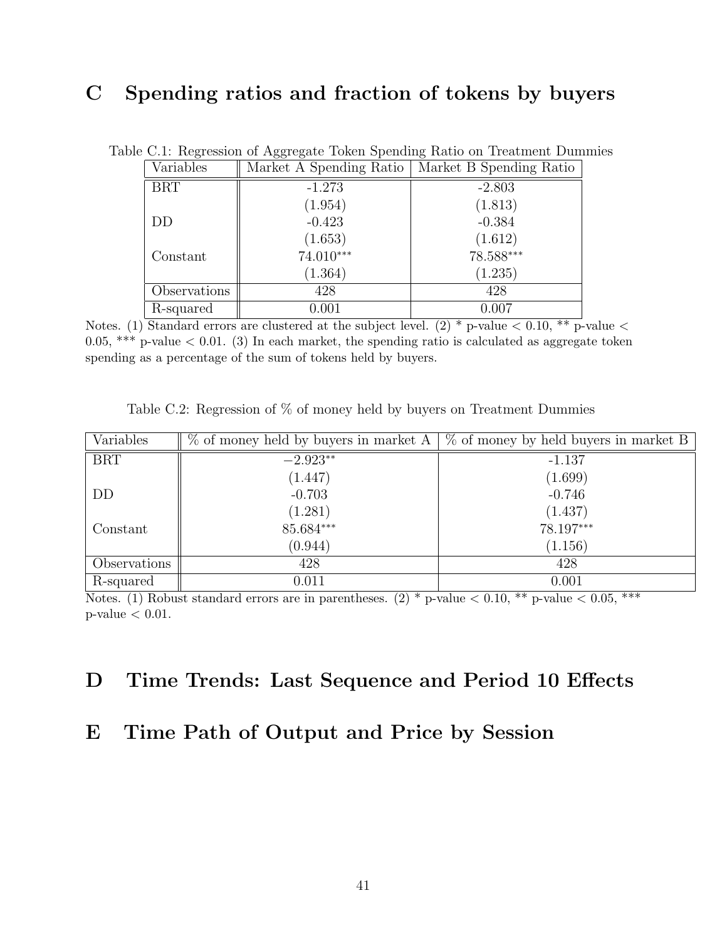### C Spending ratios and fraction of tokens by buyers

| Variables    | Market A Spending Ratio | Market B Spending Ratio |
|--------------|-------------------------|-------------------------|
| <b>BRT</b>   | $-1.273$                | $-2.803$                |
|              | (1.954)                 | (1.813)                 |
| DD           | $-0.423$                | $-0.384$                |
|              | (1.653)                 | (1.612)                 |
| Constant     | 74.010***               | 78.588***               |
|              | (1.364)                 | (1.235)                 |
| Observations | 428                     | 428                     |
| R-squared    | $0.001\,$               | 0.007                   |

Table C.1: Regression of Aggregate Token Spending Ratio on Treatment Dummies

Notes. (1) Standard errors are clustered at the subject level. (2)  $*$  p-value  $< 0.10, **$  p-value  $<$ 0.05, \*\*\* p-value  $< 0.01$ . (3) In each market, the spending ratio is calculated as aggregate token spending as a percentage of the sum of tokens held by buyers.

| Variables    |            | $\%$ of money held by buyers in market A $\%$ of money by held buyers in market B |
|--------------|------------|-----------------------------------------------------------------------------------|
| <b>BRT</b>   | $-2.923**$ | $-1.137$                                                                          |
|              | (1.447)    | (1.699)                                                                           |
| DD           | $-0.703$   | $-0.746$                                                                          |
|              | (1.281)    | (1.437)                                                                           |
| Constant     | 85.684***  | 78.197***                                                                         |
|              | (0.944)    | (1.156)                                                                           |
| Observations | 428        | 428                                                                               |
| R-squared    | 0.011      | 0.001                                                                             |

Table C.2: Regression of % of money held by buyers on Treatment Dummies

Notes. (1) Robust standard errors are in parentheses.  $(2)$  \* p-value  $\lt 0.10$ , \*\* p-value  $\lt 0.05$ , \*\*\*  $p$ -value  $< 0.01$ .

### D Time Trends: Last Sequence and Period 10 Effects

### E Time Path of Output and Price by Session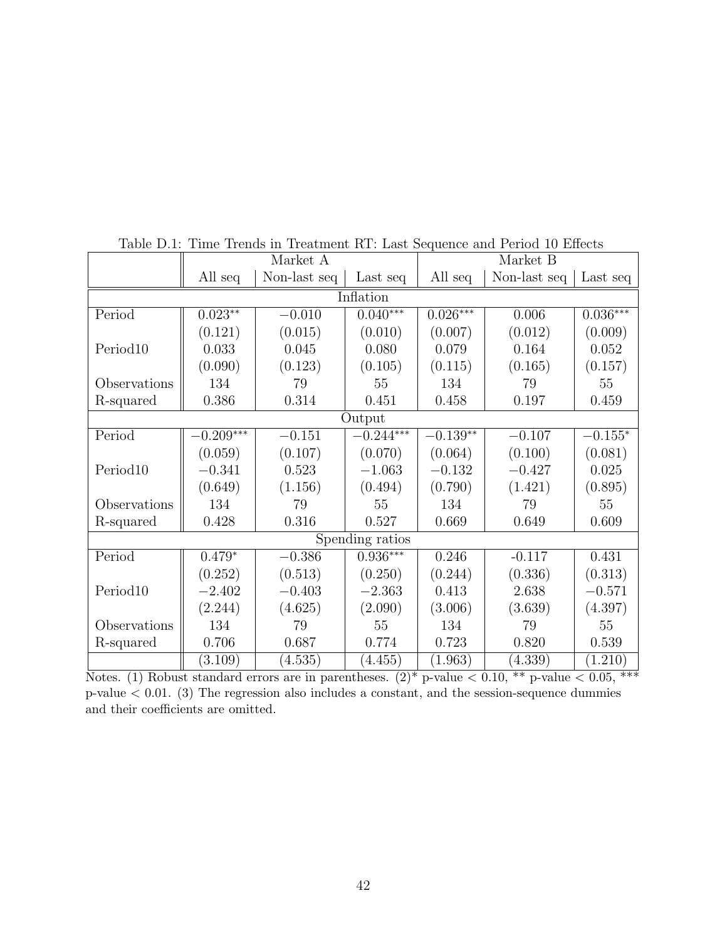|                      | Market A    |              |             | Market B   |              |            |  |  |
|----------------------|-------------|--------------|-------------|------------|--------------|------------|--|--|
|                      | All seq     | Non-last seq | Last seq    | All seq    | Non-last seq | Last seq   |  |  |
| Inflation            |             |              |             |            |              |            |  |  |
| Period               | $0.023**$   | $-0.010$     | $0.040***$  | $0.026***$ | 0.006        | $0.036***$ |  |  |
|                      | (0.121)     | (0.015)      | (0.010)     | (0.007)    | (0.012)      | (0.009)    |  |  |
| Period <sub>10</sub> | 0.033       | 0.045        | 0.080       | 0.079      | 0.164        | 0.052      |  |  |
|                      | (0.090)     | (0.123)      | (0.105)     | (0.115)    | (0.165)      | (0.157)    |  |  |
| Observations         | 134         | 79           | 55          | 134        | 79           | 55         |  |  |
| R-squared            | 0.386       | 0.314        | 0.451       | 0.458      | 0.197        | 0.459      |  |  |
|                      | Output      |              |             |            |              |            |  |  |
| Period               | $-0.209***$ | $-0.151$     | $-0.244***$ | $-0.139**$ | $-0.107$     | $-0.155*$  |  |  |
|                      | (0.059)     | (0.107)      | (0.070)     | (0.064)    | (0.100)      | (0.081)    |  |  |
| Period <sub>10</sub> | $-0.341$    | 0.523        | $-1.063$    | $-0.132$   | $-0.427$     | 0.025      |  |  |
|                      | (0.649)     | (1.156)      | (0.494)     | (0.790)    | (1.421)      | (0.895)    |  |  |
| Observations         | 134         | 79           | 55          | 134        | 79           | 55         |  |  |
| R-squared            | 0.428       | 0.316        | 0.527       | 0.669      | 0.649        | 0.609      |  |  |
| Spending ratios      |             |              |             |            |              |            |  |  |
| Period               | $0.479*$    | $-0.386$     | $0.936***$  | 0.246      | $-0.117$     | 0.431      |  |  |
|                      | (0.252)     | (0.513)      | (0.250)     | (0.244)    | (0.336)      | (0.313)    |  |  |
| Period10             | $-2.402$    | $-0.403$     | $-2.363$    | 0.413      | 2.638        | $-0.571$   |  |  |
|                      | (2.244)     | (4.625)      | (2.090)     | (3.006)    | (3.639)      | (4.397)    |  |  |
| Observations         | 134         | 79           | 55          | 134        | 79           | 55         |  |  |
| R-squared            | 0.706       | 0.687        | 0.774       | 0.723      | 0.820        | 0.539      |  |  |
|                      | (3.109)     | (4.535)      | (4.455)     | (1.963)    | (4.339)      | (1.210)    |  |  |

Table D.1: Time Trends in Treatment RT: Last Sequence and Period 10 Effects

Notes. (1) Robust standard errors are in parentheses.  $(2)^*$  p-value  $< 0.10, **$  p-value  $< 0.05, **$  $p-value < 0.01$ . (3) The regression also includes a constant, and the session-sequence dummies and their coefficients are omitted.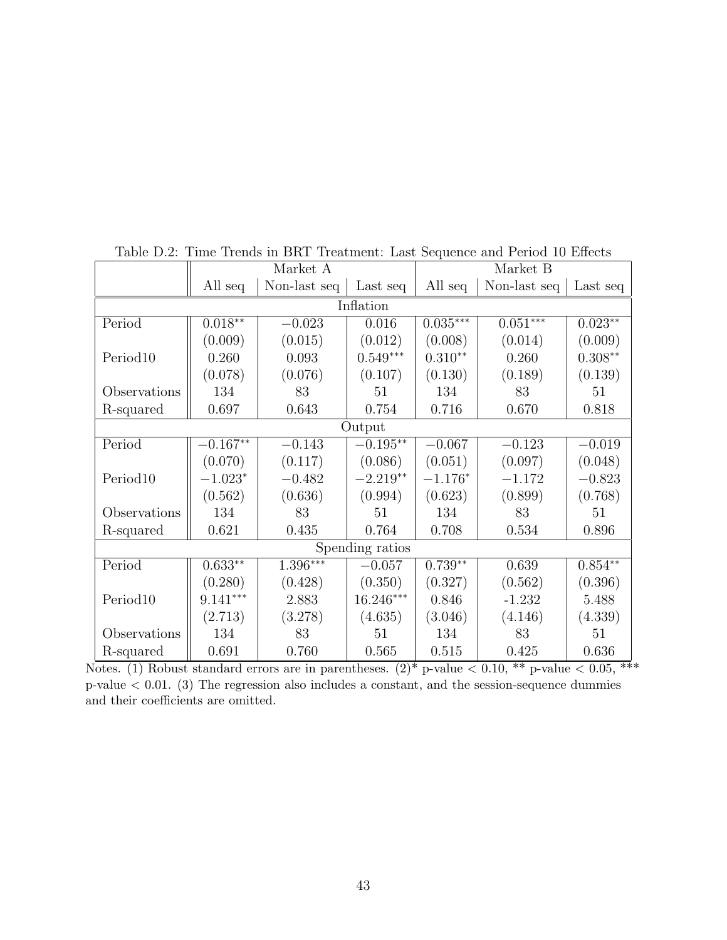|                      | Market A   |              |             | Market B   |              |           |  |
|----------------------|------------|--------------|-------------|------------|--------------|-----------|--|
|                      | All seq    | Non-last seq | Last seq    | All seq    | Non-last seq | Last seq  |  |
| Inflation            |            |              |             |            |              |           |  |
| Period               | $0.018**$  | $-0.023$     | 0.016       | $0.035***$ | $0.051***$   | $0.023**$ |  |
|                      | (0.009)    | (0.015)      | (0.012)     | (0.008)    | (0.014)      | (0.009)   |  |
| Period10             | 0.260      | 0.093        | $0.549***$  | $0.310**$  | 0.260        | $0.308**$ |  |
|                      | (0.078)    | (0.076)      | (0.107)     | (0.130)    | (0.189)      | (0.139)   |  |
| Observations         | 134        | 83           | 51          | 134        | 83           | 51        |  |
| R-squared            | 0.697      | 0.643        | 0.754       | 0.716      | 0.670        | 0.818     |  |
|                      |            |              | Output      |            |              |           |  |
| Period               | $-0.167**$ | $-0.143$     | $-0.195**$  | $-0.067$   | $-0.123$     | $-0.019$  |  |
|                      | (0.070)    | (0.117)      | (0.086)     | (0.051)    | (0.097)      | (0.048)   |  |
| Period <sub>10</sub> | $-1.023*$  | $-0.482$     | $-2.219**$  | $-1.176*$  | $-1.172$     | $-0.823$  |  |
|                      | (0.562)    | (0.636)      | (0.994)     | (0.623)    | (0.899)      | (0.768)   |  |
| Observations         | 134        | 83           | 51          | 134        | 83           | 51        |  |
| R-squared            | 0.621      | 0.435        | 0.764       | 0.708      | 0.534        | 0.896     |  |
| Spending ratios      |            |              |             |            |              |           |  |
| Period               | $0.633**$  | $1.396***$   | $-0.057$    | $0.739**$  | 0.639        | $0.854**$ |  |
|                      | (0.280)    | (0.428)      | (0.350)     | (0.327)    | (0.562)      | (0.396)   |  |
| Period10             | $9.141***$ | 2.883        | $16.246***$ | 0.846      | $-1.232$     | 5.488     |  |
|                      | (2.713)    | (3.278)      | (4.635)     | (3.046)    | (4.146)      | (4.339)   |  |
| Observations         | 134        | 83           | 51          | 134        | 83           | 51        |  |
| R-squared            | 0.691      | 0.760        | 0.565       | 0.515      | 0.425        | 0.636     |  |

Table D.2: Time Trends in BRT Treatment: Last Sequence and Period 10 Effects

Notes. (1) Robust standard errors are in parentheses.  $(2)^*$  p-value  $\lt 0.10$ , \*\* p-value  $\lt 0.05$ , \*\*\* p-value < 0.01. (3) The regression also includes a constant, and the session-sequence dummies and their coefficients are omitted.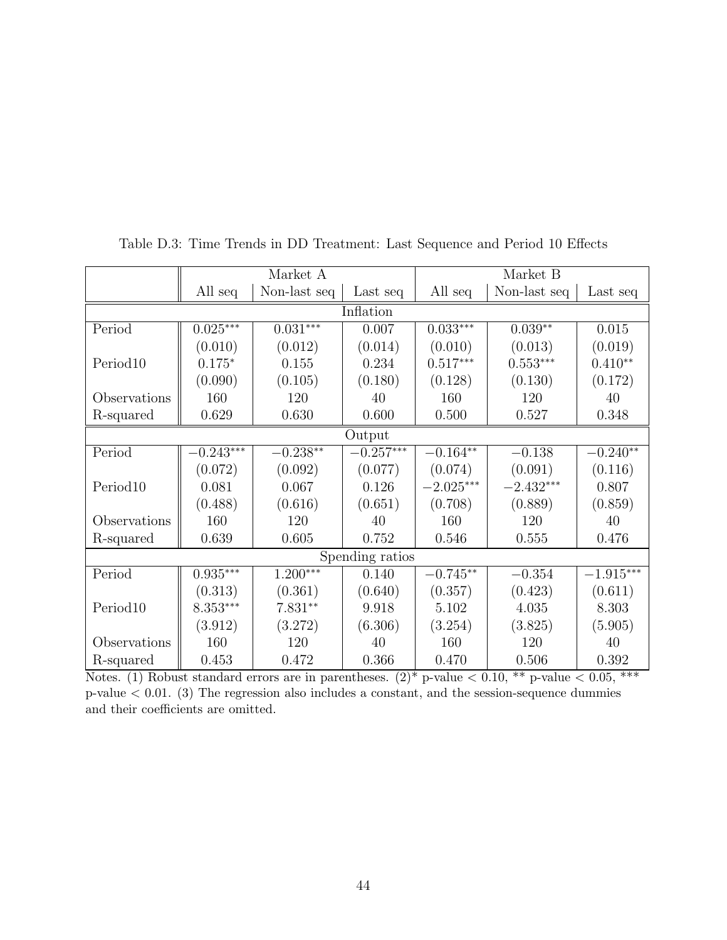|                 | Market A    |              |             | Market B            |              |                         |  |  |
|-----------------|-------------|--------------|-------------|---------------------|--------------|-------------------------|--|--|
|                 | All seq     | Non-last seq | Last seq    | All seq             | Non-last seq | Last seq                |  |  |
| Inflation       |             |              |             |                     |              |                         |  |  |
| Period          | $0.025***$  | $0.031***$   | 0.007       | $0.033***$          | $0.039**$    | 0.015                   |  |  |
|                 | (0.010)     | (0.012)      | (0.014)     | (0.010)             | (0.013)      | (0.019)                 |  |  |
| Period10        | $0.175*$    | 0.155        | 0.234       | $0.517***$          | $0.553***$   | $0.410**$               |  |  |
|                 | (0.090)     | (0.105)      | (0.180)     | (0.128)             | (0.130)      | (0.172)                 |  |  |
| Observations    | 160         | 120          | 40          | 160                 | 120          | 40                      |  |  |
| R-squared       | 0.629       | 0.630        | 0.600       | 0.500               | 0.527        | 0.348                   |  |  |
|                 |             |              | Output      |                     |              |                         |  |  |
| Period          | $-0.243***$ | $-0.238**$   | $-0.257***$ | $-0.164**$          | $-0.138$     | $-0.240**$              |  |  |
|                 | (0.072)     | (0.092)      | (0.077)     | (0.074)             | (0.091)      | (0.116)                 |  |  |
| Period10        | 0.081       | 0.067        | 0.126       | $-2.025***$         | $-2.432***$  | 0.807                   |  |  |
|                 | (0.488)     | (0.616)      | (0.651)     | (0.708)             | (0.889)      | (0.859)                 |  |  |
| Observations    | 160         | 120          | 40          | 160                 | 120          | 40                      |  |  |
| R-squared       | 0.639       | 0.605        | 0.752       | 0.546               | 0.555        | 0.476                   |  |  |
| Spending ratios |             |              |             |                     |              |                         |  |  |
| Period          | $0.935***$  | $1.200***$   | 0.140       | $-0.745^{\ast\ast}$ | $-0.354$     | $-1.915^{\ast\ast\ast}$ |  |  |
|                 | (0.313)     | (0.361)      | (0.640)     | (0.357)             | (0.423)      | (0.611)                 |  |  |
| Period10        | $8.353***$  | $7.831**$    | 9.918       | 5.102               | 4.035        | 8.303                   |  |  |
|                 | (3.912)     | (3.272)      | (6.306)     | (3.254)             | (3.825)      | (5.905)                 |  |  |
| Observations    | 160         | 120          | 40          | 160                 | 120          | 40                      |  |  |
| R-squared       | 0.453       | 0.472        | 0.366       | 0.470               | 0.506        | 0.392                   |  |  |

Table D.3: Time Trends in DD Treatment: Last Sequence and Period 10 Effects

Notes. (1) Robust standard errors are in parentheses.  $(2)^*$  p-value  $\lt 0.10$ , \*\* p-value  $\lt 0.05$ , \*\*\*  $p-value < 0.01$ . (3) The regression also includes a constant, and the session-sequence dummies and their coefficients are omitted.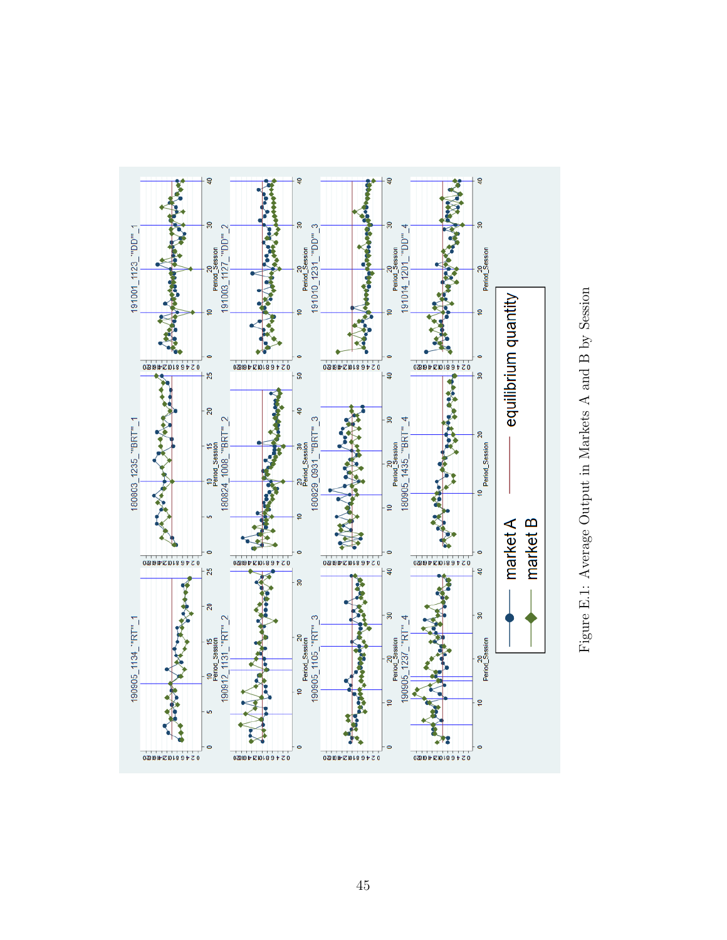

Figure E.1: Average Output in Markets A and B by Session Figure E.1: Average Output in Markets A and B by Session